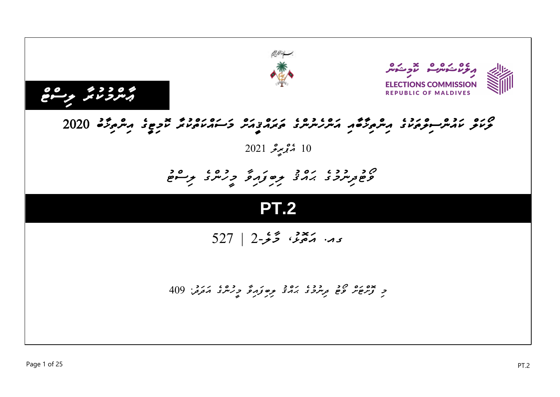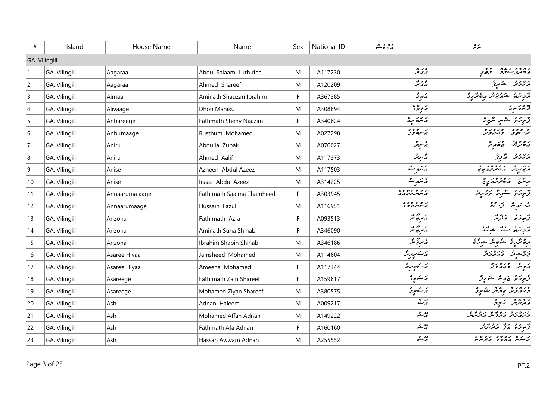| #              | Island        | House Name     | Name                      | Sex       | National ID | ، ه ، بر <u>م</u>                              | يترمثر                                              |
|----------------|---------------|----------------|---------------------------|-----------|-------------|------------------------------------------------|-----------------------------------------------------|
| GA. Vilingili  |               |                |                           |           |             |                                                |                                                     |
|                | GA. Vilingili | Aagaraa        | Abdul Salaam Luthufee     | M         | A117230     | پر پڑ                                          | ג 2000 בכל 29.7°<br>הסתה – יכבל 29.7°               |
| $\overline{c}$ | GA. Vilingili | Aagaraa        | Ahmed Shareef             | M         | A120209     | پرسمہ                                          | رەرد شىرۇ                                           |
| $\overline{3}$ | GA. Vilingili | Aimaa          | Aminath Shauzan Ibrahim   | F         | A367385     | رسميرځ                                         | و برد دروره مصربرد                                  |
| 4              | GA. Vilingili | Alivaage       | Dhon Maniku               | M         | A308894     | پر پر پر<br>  پر بر پر پ                       | بو 2 پر 2<br>قرمریز سربر                            |
| 5              | GA. Vilingili | Anbareege      | Fathmath Sheny Naazim     | F         | A340624     | بر ۵۵<br>د سرچ مړي                             | ژودۇ خېر شىرو                                       |
| 6              | GA. Vilingili | Anbumaage      | Rusthum Mohamed           | M         | A027298     | ر<br>دسمه ژی                                   | و ووه ورورو<br>بر سو <sub>گ</sub> و وبرمرونر        |
| $\overline{7}$ | GA. Vilingili | Aniru          | Abdulla Zubair            | ${\sf M}$ | A070027     | رمج سر بر                                      | مَدْهُ مِّرَاللَّهُ مَنْ صَهْرَ                     |
| $\bf 8$        | GA. Vilingili | Aniru          | Ahmed Aalif               | ${\sf M}$ | A117373     | ومحسر بحر                                      | برەر ئە ئەر                                         |
| $\overline{9}$ | GA. Vilingili | Anise          | Azneen Abdul Azeez        | M         | A117503     | وسنبرعه                                        | גם תיית הסינקבה בש                                  |
| 10             | GA. Vilingili | Anise          | Inaaz Abdul Azeez         | M         | A314225     | ئە ئىرىمە <sup>م</sup>                         | و پښې د موده دي                                     |
| 11             | GA. Vilingili | Annaaruma aage | Fathimath Saaima Thamheed | F         | A303945     | ر ه ۶ ۶ ۶ ۶ و<br>د سرسرپرو د ی                 | ژودۇ شرۇ ۋور                                        |
| 12             | GA. Vilingili | Annaarumaage   | Hussain Fazul             | M         | A116951     | ر ۵ په ۶ په <u>پ</u><br>د سرسربرو <sub>ک</sub> | رحسەر مىز ئەنتىمى<br>مەسىر                          |
| 13             | GA. Vilingili | Arizona        | Fathimath Azra            | F         | A093513     | ە بىر چە ئىگە                                  | وٌجِ حَرَمٌ مَقْرَبَمٌ                              |
| 14             | GA. Vilingili | Arizona        | Aminath Suha Shihab       | F         | A346090     | ى بىرى<br>مەبىرى مىر                           | أروسي فسترش الشورصي                                 |
| 15             | GA. Vilingili | Arizona        | Ibrahim Shabin Shihab     | ${\sf M}$ | A346186     | ې مړي<br>مړينې                                 | مەھەر ئەھ ئىس ئىرگە                                 |
| 16             | GA. Vilingili | Asaree Hiyaa   | Jamsheed Mohamed          | M         | A114604     | ە سەئىبەر بىر<br>م                             | ره د دره دره<br>د گوشونر و <i>بر د</i> ونر          |
| 17             | GA. Vilingili | Asaree Hiyaa   | Ameena Mohamed            | F         | A117344     | ە سەئىرىرى <i>دۇ</i>                           | ړَ پر دره د                                         |
| 18             | GA. Vilingili | Asareege       | Fathimath Zain Shareef    | F         | A159817     | ېز سەئىي <sub>د</sub> ى<br>ئە                  | توجوخو تمرشر خويرو                                  |
| 19             | GA. Vilingili | Asareege       | Mohamed Ziyan Shareef     | M         | A380575     | ېز سه پېړئ<br>پ                                | ورورو برځه ځوړو                                     |
| 20             | GA. Vilingili | Ash            | Adnan Haleem              | M         | A009217     | پرمے                                           | ر دیده بروه                                         |
| 21             | GA. Vilingili | Ash            | Mohamed Affan Adnan       | M         | A149222     | يمشه                                           | وره رو ره ده د د ده ه<br>د برماد تر مانگر ش مانگریش |
| 22             | GA. Vilingili | Ash            | Fathmath Afa Adnan        | F         | A160160     | لئزيثه                                         | و د د در دوره.                                      |
| 23             | GA. Vilingili | Ash            | Hassan Awwam Adnan        | M         | A255552     | پرمے                                           | ر ره ره ده روم د<br>پرسور محمود معرش                |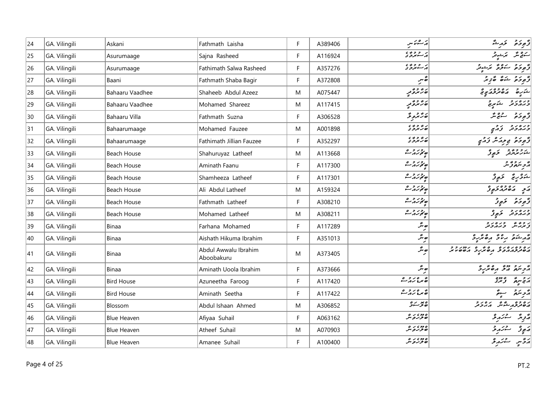| 24 | GA. Vilingili | Askani             | Fathmath Laisha                    | F         | A389406 | ىر شەئەسەر                              | وَّجْعَةٍ وَرِحَةٌ                                                    |
|----|---------------|--------------------|------------------------------------|-----------|---------|-----------------------------------------|-----------------------------------------------------------------------|
| 25 | GA. Vilingili | Asurumaage         | Sajna Rasheed                      | F         | A116924 | ر و و د »<br>پرستوری                    | رە ئۆگە ئىم ئىش <sub>و</sub> نى                                       |
| 26 | GA. Vilingili | Asurumaage         | Fathimath Salwa Rasheed            | F         | A357276 | ر د د وه و<br>پرستوبو د                 | تحج و و ده و مرشونه                                                   |
| 27 | GA. Vilingili | Baani              | Fathmath Shaba Bagir               | F         | A372808 | ځ سر                                    | $\frac{2}{3}$ $\frac{2}{9}$ $\frac{2}{9}$ $\frac{2}{3}$ $\frac{2}{3}$ |
| 28 | GA. Vilingili | Bahaaru Vaadhee    | Shaheeb Abdul Azeez                | M         | A075447 | ر پر برگ <sub>و</sub> ر                 | أشرره ره ده در ه                                                      |
| 29 | GA. Vilingili | Bahaaru Vaadhee    | Mohamed Shareez                    | M         | A117415 | ر پر برگ <sub>و</sub> ر                 | وره دو شهریم                                                          |
| 30 | GA. Vilingili | Bahaaru Villa      | Fathmath Suzna                     | F         | A306528 | ە ئەترە بۇ                              | أزُّهْ دِمَعَ مَّرْ مِنْ                                              |
| 31 | GA. Vilingili | Bahaarumaage       | Mohamed Fauzee                     | M         | A001898 | ر د و د ،<br>ت <i>ن ترو</i> د           | وره رو دو                                                             |
| 32 | GA. Vilingili | Bahaarumaage       | Fathimath Jillian Fauzee           | F         | A352297 | ر و و و ،<br>ن <i>ن ترو د</i>           | وحدد وحدش وأرمح                                                       |
| 33 | GA. Vilingili | Beach House        | Shahuruyaz Latheef                 | M         | A113668 | ە ئەزەر م                               | ر و و و و د و و<br>شوربروگرنر گرې <sub>و</sub> ژ                      |
| 34 | GA. Vilingili | <b>Beach House</b> | Aminath Faanu                      | F         | A117300 | 27/6                                    | ۇ ئەستەۋىتر                                                           |
| 35 | GA. Vilingili | <b>Beach House</b> | Shamheeza Latheef                  | F         | A117301 | ە ئەزەر م                               | شكوريج كركور                                                          |
| 36 | GA. Vilingili | <b>Beach House</b> | Ali Abdul Latheef                  | ${\sf M}$ | A159324 | ە <i>پىرىز</i> ب                        | 2 2020 2020                                                           |
| 37 | GA. Vilingili | <b>Beach House</b> | Fathmath Latheef                   | F         | A308210 | ھ پر تر مر<br>م                         | تزود والمحاوية                                                        |
| 38 | GA. Vilingili | <b>Beach House</b> | Mohamed Latheef                    | ${\sf M}$ | A308211 | $\frac{1}{2}$                           | ورەر دىم ئېر                                                          |
| 39 | GA. Vilingili | Binaa              | Farhana Mohamed                    | F         | A117289 | حویٹر                                   | و وو مده در ور                                                        |
| 40 | GA. Vilingili | Binaa              | Aishath Hikuma Ibrahim             | F         | A351013 | ەپتر                                    | התשים גיול תסתים                                                      |
| 41 | GA. Vilingili | Binaa              | Abdul Awwalu Ibrahim<br>Aboobakuru | ${\sf M}$ | A373405 | ھ سگر                                   | גם כם גם גם גם גם גדוג כב<br>גם נקבג גם ביציק בינים מיט               |
| 42 | GA. Vilingili | Binaa              | Aminath Uoola Ibrahim              | F         | A373666 | حویٹر                                   | ה כיים גיב גם הקיב                                                    |
| 43 | GA. Vilingili | <b>Bird House</b>  | Azuneetha Faroog                   | F         | A117420 | ە بەر دەر<br>ق <i>ا</i> يرى <i>س</i> ىر | كە جەمئەت ئۇچرى<br>مەنتى سىرىمىتى ئۇچرى                               |
| 44 | GA. Vilingili | <b>Bird House</b>  | Aminath Seetha                     | F         | A117422 | په ۲۷۵ و.<br>په برد ک                   | $rac{2}{3}$                                                           |
| 45 | GA. Vilingili | <b>Blossom</b>     | Abdul Ishaan Ahmed                 | ${\sf M}$ | A306852 | ەبىرىرە                                 |                                                                       |
| 46 | GA. Vilingili | <b>Blue Heaven</b> | Afiyaa Suhail                      | F         | A063162 | ه دد د ره<br>حور و س                    | و در مندرو<br>مستقرر من                                               |
| 47 | GA. Vilingili | <b>Blue Heaven</b> | Atheef Suhail                      | M         | A070903 | ه دوی ر ه<br><i>ه محر ر ه</i> ر         | ە يوق سىنىدۇ                                                          |
| 48 | GA. Vilingili | <b>Blue Heaven</b> | Amanee Suhail                      | F         | A100400 | ه دد د بر ه<br>ح محر <i>د ه</i> مگر     | رُدُّسِ شَرَرَدْ                                                      |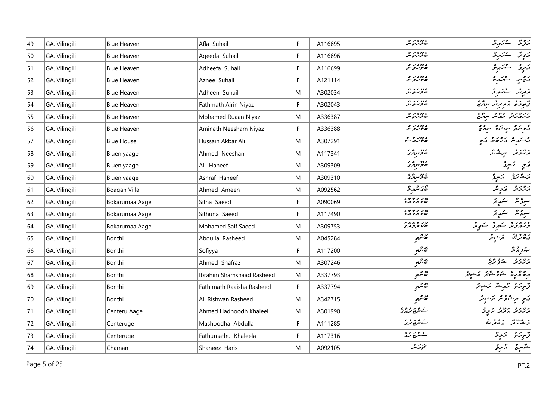| 49 | GA. Vilingili | <b>Blue Heaven</b> | Afla Suhail               | F  | A116695 | ه دد ، ر ه<br><i>ه ور و</i> س  | رەپ سىرىرى                                         |
|----|---------------|--------------------|---------------------------|----|---------|--------------------------------|----------------------------------------------------|
| 50 | GA. Vilingili | <b>Blue Heaven</b> | Ageeda Suhail             | F. | A116696 | ه دو ، ر ه<br><i>ه مور و</i> س | ە توپىر سىزىر بو                                   |
| 51 | GA. Vilingili | <b>Blue Heaven</b> | Adheefa Suhail            | F  | A116699 | ه دو ، ر ه<br><i>ه مور و</i> س | ەتبەر<br>سترئرو                                    |
| 52 | GA. Vilingili | <b>Blue Heaven</b> | Aznee Suhail              | F. | A121114 | ه دد د ره<br>ح توره س          | اړه چې<br>اريخ<br>ستركر بحر                        |
| 53 | GA. Vilingili | <b>Blue Heaven</b> | Adheen Suhail             | M  | A302034 | ه دد ، ر ه<br><i>ه مور</i> و س | ړ <sub>ىرىن</sub> ر ئەز <sub>ىر</sub> و            |
| 54 | GA. Vilingili | <b>Blue Heaven</b> | Fathmath Airin Niyaz      | F  | A302043 | ه دو ، ر ه<br><i>ه نور و</i> س | ؤودة مربر سرو                                      |
| 55 | GA. Vilingili | <b>Blue Heaven</b> | Mohamed Ruaan Niyaz       | M  | A336387 | ه دو ، ر ه<br><i>ه و ر ه</i> س | כנסגב כשם עושם                                     |
| 56 | GA. Vilingili | <b>Blue Heaven</b> | Aminath Neesham Niyaz     | F  | A336388 | ه دو ، ر ه<br><i>ه مور و</i> س | أأدرسكم سرعوى سرأرج                                |
| 57 | GA. Vilingili | <b>Blue House</b>  | Hussain Akbar Ali         | M  | A307291 | ە دىر دې ھ                     | بر سنهر شرکاره بر میگیر                            |
| 58 | GA. Vilingili | Blueniyaage        | Ahmed Neeshan             | M  | A117341 | ە دوسرى<br>ھۆسىدى              | رەر ترىئىر                                         |
| 59 | GA. Vilingili | Blueniyaage        | Ali Haneef                | M  | A309309 | ە دەپەر<br>ھۆسرىرى             | أەسمج أأسبونى                                      |
| 60 | GA. Vilingili | Blueniyaage        | Ashraf Haneef             | M  | A309310 | وجو سر محر<br>                 | برعبرو برسرو                                       |
| 61 | GA. Vilingili | Boagan Villa       | Ahmed Ameen               | M  | A092562 | ە بە ھ <sub>ى</sub> ئە         | أرەر ئەچە                                          |
| 62 | GA. Vilingili | Bokarumaa Aage     | Sifna Saeed               | F  | A090069 | c # # # # #<br>s A # # # #     | سوۋىگە سەمبەتر                                     |
| 63 | GA. Vilingili | Bokarumaa Aage     | Sithuna Saeed             | F. | A117490 | پر د و ه ه و<br>۳۵ مرد ۸ د     | سوە ئىگە سىكەپ قىر                                 |
| 64 | GA. Vilingili | Bokarumaa Aage     | Mohamed Saif Saeed        | M  | A309753 | 515110                         | ورەرو سەرۇ سەر                                     |
| 65 | GA. Vilingili | Bonthi             | Abdulla Rasheed           | M  | A045284 | قەشىر                          | رەقمەللە ئىشىر                                     |
| 66 | GA. Vilingili | Bonthi             | Sofiyya                   | F. | A117200 | ەمە                            | ىبكۇرۇنگە                                          |
| 67 | GA. Vilingili | Bonthi             | Ahmed Shafraz             | M  | A307246 | بره<br>صنرمج                   | ره رو دره ده<br>م.رونر څورندن                      |
| 68 | GA. Vilingili | Bonthi             | Ibrahim Shamshaad Rasheed | M  | A337793 | القنقبح                        | رە ئەرە ئەۋىشەر ئەشەر<br>بەھەرىيە ئىسى ئىشىر ئەسەر |
| 69 | GA. Vilingili | <b>Bonthi</b>      | Fathimath Raaisha Rasheed | F  | A337794 | قاشعر                          | و و د د بر استمر استاند د                          |
| 70 | GA. Vilingili | Bonthi             | Ali Rishwan Rasheed       | M  | A342715 | قاشعر                          | ر<br>موسط مرتشور مرتشونر                           |
| 71 | GA. Vilingili | Centeru Aage       | Ahmed Hadhoodh Khaleel    | M  | A301990 | ے مرد وہ م<br>سوس پوری         | رەر دەرە بەيدۇ.                                    |
| 72 | GA. Vilingili | Centeruge          | Mashoodha Abdulla         | F  | A111285 | ے مر <sub>ی</sub> ح پر ی       | ر مصر روم در محمد الله                             |
| 73 | GA. Vilingili | Centeruge          | Fathumathu Khaleela       | F. | A117316 | ے مر <sub>یم</sub> و ی         | وٌ جو حَرْ حَرْ<br>تزوِرَّ                         |
| 74 | GA. Vilingili | Chaman             | Shaneez Haris             | M  | A092105 | ىمەر ھ                         | ڪسرچ گھري                                          |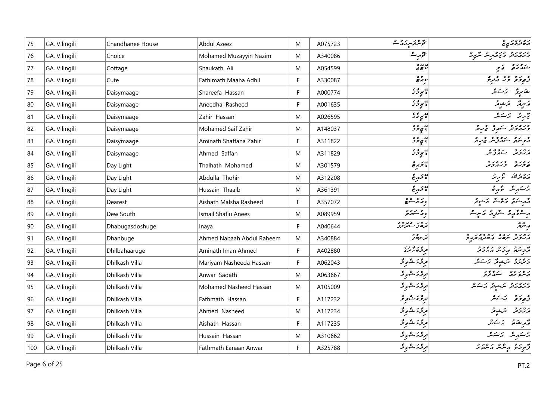| 75           | GA. Vilingili | Chandhanee House | <b>Abdul Azeez</b>        | M           | A075723 | ىمەتلەر <i>بىرىدە</i> ك         | ره وه ر<br>د هند د د پم                             |
|--------------|---------------|------------------|---------------------------|-------------|---------|---------------------------------|-----------------------------------------------------|
| 76           | GA. Vilingili | Choice           | Mohamed Muzayyin Nazim    | M           | A340086 | ىچمەرىشە                        | כנסגב בזמתית תופר                                   |
| 77           | GA. Vilingili | Cottage          | Shaukath Ali              | M           | A054599 | پرين ۾<br>م ج ق                 |                                                     |
| 78           | GA. Vilingili | Cute             | Fathimath Maaha Adhil     | F           | A330087 | $\stackrel{o}{\sim}$            | توجوحو تحرش محمدته                                  |
| 79           | GA. Vilingili | Daisymaage       | Shareefa Hassan           | $\mathsf F$ | A000774 | ر<br>پانگ پی پر د               | أختيرة أيمكش                                        |
| 80           | GA. Vilingili | Daisymaage       | Aneedha Rasheed           | F           | A001635 | ر<br>پانگ پی پی تر <sub>ک</sub> | كاسريگر الكر شوند                                   |
| 81           | GA. Vilingili | Daisymaage       | Zahir Hassan              | M           | A026595 | ر<br>پانگنج تر ک                | چ ریز کرکے میں                                      |
| 82           | GA. Vilingili | Daisymaage       | Mohamed Saif Zahir        | M           | A148037 | پی پی تر <sup>2</sup>           | ورورو سكرو لجريم                                    |
| 83           | GA. Vilingili | Daisymaage       | Aminath Shaffana Zahir    | F           | A311822 | ۽ سچ چري<br>  ۽ سچ چر پر        | أزويتهم خوروثير لجرير                               |
| 84           | GA. Vilingili | Daisymaage       | Ahmed Saffan              | M           | A311829 | ر<br>پانگ پی تر <sub>ک</sub>    | رەرد رەپەر                                          |
| 85           | GA. Vilingili | Day Light        | Thalhath Mohamed          | M           | A301579 | بمخرج                           | נסנד בנסנד<br>הצלגים בגורכת                         |
| 86           | GA. Vilingili | Day Light        | Abdulla Thohir            | M           | A312208 | بمخرج                           | رەقراللە ئورىز                                      |
| 87           | GA. Vilingili | Day Light        | Hussain Thaaib            | M           | A361391 | ۽ تزريح                         | بر سكر شهر المحمدة                                  |
| 88           | GA. Vilingili | Dearest          | Aishath Malsha Rasheed    | F           | A357072 | ابریز مقطع                      | و<br>وگرشوه و وشگ برشونر                            |
| 89           | GA. Vilingili | Dew South        | Ismail Shafiu Anees       | M           | A089959 | د مرکز د د                      | ړ شو څړو شوره کمېږ شو                               |
| $ 90\rangle$ | GA. Vilingili | Dhabugasdoshuge  | Inava                     | F           | A040644 |                                 | ەپتىر                                               |
| 91           | GA. Vilingili | Dhanbuge         | Ahmed Nabaah Abdul Raheem | M           | A340884 | ر<br>ترسرچ ی                    | ג סגב גם פ ג סביבג ס<br>ג גבת יתסיג גםתחת <i>גב</i> |
| 92           | GA. Vilingili | Dhilbahaaruge    | Aminath Iman Ahmed        | $\mathsf F$ | A402880 | و د بر و د<br>ترنژه ر بر د      | הכית הכית המכת                                      |
| 93           | GA. Vilingili | Dhilkash Villa   | Mariyam Nasheeda Hassan   | F           | A062043 | <mark>ىرىۋىدىش</mark> ورۇ       | ويرمروا الرسومر الركاس                              |
| 94           | GA. Vilingili | Dhilkash Villa   | Anwar Sadath              | M           | A063667 | مرىۋىم شىھ بۇ ئى                | ر ه ر وه مر د د و<br>پرسرو بور مستورتونو            |
| 95           | GA. Vilingili | Dhilkash Villa   | Mohamed Nasheed Hassan    | M           | A105009 | <br> مرثر ما مشهورته            | ورەرو ترسىر كەسكى                                   |
| 96           | GA. Vilingili | Dhilkash Villa   | Fathmath Hassan           | $\mathsf F$ | A117232 | مرقرئم يشويرقر                  | توجوه يمسكس                                         |
| 97           | GA. Vilingili | Dhilkash Villa   | Ahmed Nasheed             | M           | A117234 | <br> مرمریم ش <sub>موم</sub> مر | أربروتر الكرشوش                                     |
| 98           | GA. Vilingili | Dhilkash Villa   | Aishath Hassan            | F           | A117235 | ىر <i>ۇ ئ</i> ەشھۇقە            | ە ئەستىقى ئەسكەنلەر                                 |
| 99           | GA. Vilingili | Dhilkash Villa   | Hussain Hassan            | M           | A310662 | <br>  مرمر مذهب مرمر            | برسكريش برسكس                                       |
| 100          | GA. Vilingili | Dhilkash Villa   | Fathmath Eanaan Anwar     | F           | A325788 | مرمرىم شو <sub>م</sub> وتى      | تحج و و محمد المستعدم                               |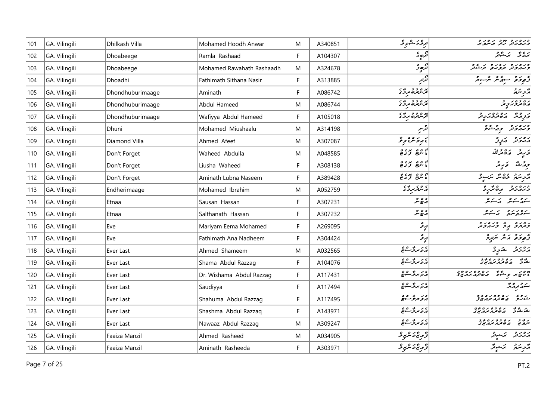| 101 | GA. Vilingili | Dhilkash Villa   | Mohamed Hoodh Anwar       | M           | A340851 | <mark>ىرىۋىدىش</mark> ورۇ                             | כנסג כ ככ גםגב<br><i>כג</i> ובבת גת ומינפת                                                                                                                                                                                                                                                                                                                                                                                                                       |
|-----|---------------|------------------|---------------------------|-------------|---------|-------------------------------------------------------|------------------------------------------------------------------------------------------------------------------------------------------------------------------------------------------------------------------------------------------------------------------------------------------------------------------------------------------------------------------------------------------------------------------------------------------------------------------|
| 102 | GA. Vilingili | Dhoabeege        | Ramla Rashaad             | $\mathsf F$ | A104307 | ە<br>مەھ                                              | ىرۈ ئەسكەر                                                                                                                                                                                                                                                                                                                                                                                                                                                       |
| 103 | GA. Vilingili | Dhoabeege        | Mohamed Rawahath Rashaadh | M           | A324678 | ە<br>مەھمى                                            | وره رو بروبر و برند و<br>جهرچن مرونه و مرشور                                                                                                                                                                                                                                                                                                                                                                                                                     |
| 104 | GA. Vilingili | Dhoadhi          | Fathimath Sithana Nasir   | F           | A313885 | تحرمر                                                 | ۇۋەدە سوۋىتر ترسونر                                                                                                                                                                                                                                                                                                                                                                                                                                              |
| 105 | GA. Vilingili | Dhondhuburimaage | Aminath                   | $\mathsf F$ | A086742 | بر ه د و و په و<br>ترسربر <i>ه بر</i> و د             | ړ ځېږ په                                                                                                                                                                                                                                                                                                                                                                                                                                                         |
| 106 | GA. Vilingili | Dhondhuburimaage | Abdul Hameed              | M           | A086744 | پر ه د د د پر پر<br>ترسرتر <i>ه بر</i> و <sub>ک</sub> | ړ ۵ و ۵ د په د                                                                                                                                                                                                                                                                                                                                                                                                                                                   |
| 107 | GA. Vilingili | Dhondhuburimaage | Wafiyya Abdul Hameed      | $\mathsf F$ | A105018 | پر ۵ و و پر دی<br>تر نگرتر <i>ه بر و</i> د            | وَوِمِرٌ مَصْرُومَ وِمْرَ                                                                                                                                                                                                                                                                                                                                                                                                                                        |
| 108 | GA. Vilingili | Dhuni            | Mohamed Miushaalu         | M           | A314198 | قرسر                                                  | ورەرو دەشۇر                                                                                                                                                                                                                                                                                                                                                                                                                                                      |
| 109 | GA. Vilingili | Diamond Villa    | Ahmed Afeef               | M           | A307087 | نۇر ئەمرىگە <i>ھ</i> وڭر                              | درو ډې د                                                                                                                                                                                                                                                                                                                                                                                                                                                         |
| 110 | GA. Vilingili | Don't Forget     | Waheed Abdulla            | M           | A048585 | م وه بره و<br>پاسیج تردیح                             | أحربيته الاحدادية                                                                                                                                                                                                                                                                                                                                                                                                                                                |
| 111 | GA. Vilingili | Don't Forget     | Liusha Waheed             | F.          | A308138 |                                                       | ورحمش كالمرقر                                                                                                                                                                                                                                                                                                                                                                                                                                                    |
| 112 | GA. Vilingili | Don't Forget     | Aminath Lubna Naseem      | F           | A389428 | می هم و در ه<br>  عمر هم و تر د هم                    | أأوسم وهاش سرسو                                                                                                                                                                                                                                                                                                                                                                                                                                                  |
| 113 | GA. Vilingili | Endherimaage     | Mohamed Ibrahim           | M           | A052759 | ې وې په په<br>مرمرمرد د                               | כמחכת תפתיכ                                                                                                                                                                                                                                                                                                                                                                                                                                                      |
| 114 | GA. Vilingili | Etnaa            | Sausan Hassan             | F           | A307231 | ې ه ع<br>مرح سر                                       | سەر ئەسەس بايرىسىس                                                                                                                                                                                                                                                                                                                                                                                                                                               |
| 115 | GA. Vilingili | Etnaa            | Salthanath Hassan         | F           | A307232 | پره پر                                                | سۇۋىتى ئەسەر                                                                                                                                                                                                                                                                                                                                                                                                                                                     |
| 116 | GA. Vilingili | Eve              | Mariyam Eema Mohamed      | F           | A269095 | دية                                                   | נפנם נפי כנסנים<br>כמתכ נפי כנמכת                                                                                                                                                                                                                                                                                                                                                                                                                                |
| 117 | GA. Vilingili | Eve              | Fathimath Ana Nadheem     | F           | A304424 | ەرە<br>ئە                                             | توجوحه أتكر لترمره                                                                                                                                                                                                                                                                                                                                                                                                                                               |
| 118 | GA. Vilingili | Ever Last        | Ahmed Shameem             | M           | A032565 | ى بە بە ئۇر مەھ                                       | رەرو شرور                                                                                                                                                                                                                                                                                                                                                                                                                                                        |
| 119 | GA. Vilingili | Ever Last        | Shama Abdul Razzag        | $\mathsf F$ | A104076 | ى ئەسرىۋىسى <i>م</i>                                  | روم ده وه ده و و<br>شرق مان محمد محمد مع تح                                                                                                                                                                                                                                                                                                                                                                                                                      |
| 120 | GA. Vilingili | Ever Last        | Dr. Wishama Abdul Razzag  | F           | A117431 | ى ئەرتەرە ھ                                           | $\begin{array}{cc} \mathcal{D} & \mathcal{D} & \mathcal{D} & \mathcal{D} & \mathcal{D} & \mathcal{D} & \mathcal{D} & \mathcal{D} & \mathcal{D} & \mathcal{D} & \mathcal{D} & \mathcal{D} & \mathcal{D} & \mathcal{D} & \mathcal{D} & \mathcal{D} & \mathcal{D} & \mathcal{D} & \mathcal{D} & \mathcal{D} & \mathcal{D} & \mathcal{D} & \mathcal{D} & \mathcal{D} & \mathcal{D} & \mathcal{D} & \mathcal{D} & \mathcal{D} & \mathcal{D} & \mathcal{D} & \mathcal$ |
| 121 | GA. Vilingili | Ever Last        | Saudiyya                  | F           | A117494 | ى ئەرگەر 20<br>م <i>ۇ</i> ئىرگەنىشى                   | سەھەمەھە                                                                                                                                                                                                                                                                                                                                                                                                                                                         |
| 122 | GA. Vilingili | Ever Last        | Shahuma Abdul Razzag      | F           | A117495 | ى ئەرتۇب ھ<br>مەرتۇب ھ                                | ر ۵ ر ۵ ر ۵ ر و ۶<br>ג ه تر ۱. بر ۱. بر تو<br>سترگر گر                                                                                                                                                                                                                                                                                                                                                                                                           |
| 123 | GA. Vilingili | Ever Last        | Shashma Abdul Razzaq      | F           | A143971 | ى ئەرگەر 20<br>م <i>ۇ</i> ئىرگەنىشى                   | ر وه ده ده ده ده وه<br>شرشو <del>گ</del> در <i>ه ده برد</i> مخ                                                                                                                                                                                                                                                                                                                                                                                                   |
| 124 | GA. Vilingili | Ever Last        | Nawaaz Abdul Razzag       | M           | A309247 | ى ئەرگەر <i>2</i> ° ھ                                 | ر ٥ <i>٥ ٥ ٥ ٥ ٥ ٠</i><br>پره تر <i>٨ ټر ٢</i> ت<br>سرچ ج                                                                                                                                                                                                                                                                                                                                                                                                        |
| 125 | GA. Vilingili | Faaiza Manzil    | Ahmed Rasheed             | M           | A034905 | ۇ بەيج <sup>ى</sup> ئىرىمبو بى                        | رەرو كەھبىر<br>مەككى كەھبىر                                                                                                                                                                                                                                                                                                                                                                                                                                      |
| 126 | GA. Vilingili | Faaiza Manzil    | Aminath Rasheeda          | F.          | A303971 | ژٌمِ پُرَ شَهْ پِر دُ                                 | مركب مرشوقر                                                                                                                                                                                                                                                                                                                                                                                                                                                      |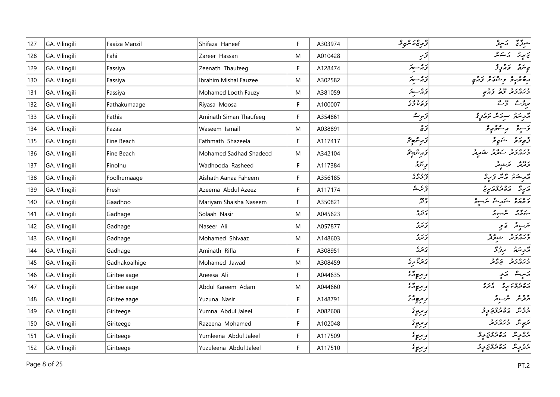| 127 | GA. Vilingili | Faaiza Manzil | Shifaza Haneef         | F  | A303974 | إِرْبِيَّ دَسْمِهِ وَ                 | الموقع كالمراريخ<br>المستركين المكسري                                                                                                                                                                                            |
|-----|---------------|---------------|------------------------|----|---------|---------------------------------------|----------------------------------------------------------------------------------------------------------------------------------------------------------------------------------------------------------------------------------|
| 128 | GA. Vilingili | Fahi          | Zareer Hassan          | M  | A010428 | قرسح                                  | ىج بىر بىر كەسكەنلىر                                                                                                                                                                                                             |
| 129 | GA. Vilingili | Fassiya       | Zeenath Thaufeeg       | F. | A128474 | تە ئەرىسىدىكە                         | ى ئىر ئىر ئىر قىلىپ ئىلگەن ئىراپ، ئىلگان ئىلگان ئىلگان ئىلگان ئىلگان ئىلگان ئىلگان ئىلگان ئىلگان ئى<br>ئىلگان ئىلگان ئىلگان ئىلگان ئىلگان ئىلگان ئىلگان ئىلگان ئىلگان ئىلگان ئىلگان ئىلگان ئىلگان ئىلگان ئىلگان ئىلگا            |
| 130 | GA. Vilingili | Fassiya       | Ibrahim Mishal Fauzee  | M  | A302582 | ئە ئەرىپىر                            | رەپرىۋ دىشمىۋ زەي                                                                                                                                                                                                                |
| 131 | GA. Vilingili | Fassiya       | Mohamed Looth Fauzy    | M  | A381059 | ئەھرىسىدىكە                           |                                                                                                                                                                                                                                  |
| 132 | GA. Vilingili | Fathakumaage  | Riyasa Moosa           | F  | A100007 | ر ر د د »<br>زه ما ژ د                | $\begin{array}{cc} \begin{array}{ccc} \circ & \circ & \circ \\ \circ & \circ & \circ \end{array} & \begin{array}{c} \circ & \circ \\ \circ & \circ & \circ \end{array} \end{array}$                                              |
| 133 | GA. Vilingili | Fathis        | Aminath Siman Thaufeeg | F  | A354861 | ئەمو <sup>م</sup>                     | أأرمز والمستحامل والمرواني                                                                                                                                                                                                       |
| 134 | GA. Vilingili | Fazaa         | Waseem Ismail          | M  | A038891 | ترتج                                  | ر دو رومورونو<br>موسود رومورونو<br>توموری شوکو                                                                                                                                                                                   |
| 135 | GA. Vilingili | Fine Beach    | Fathmath Shazeela      | F  | A117417 | ئەمرىئىي تە                           |                                                                                                                                                                                                                                  |
| 136 | GA. Vilingili | Fine Beach    | Mohamed Sadhad Shadeed | M  | A342104 | ز <sub>مر سرچونجو</sub>               | ورەرو دەرە ئەر                                                                                                                                                                                                                   |
| 137 | GA. Vilingili | Finolhu       | Wadhooda Rasheed       | F  | A117384 | ويترتز                                | ر دور<br>حوفرفر - مرَشوفر                                                                                                                                                                                                        |
| 138 | GA. Vilingili | Foolhumaage   | Aishath Aanaa Faheem   | F  | A356185 | دد و بر ر<br>تو نر <del>و</del> ک     |                                                                                                                                                                                                                                  |
| 139 | GA. Vilingili | Fresh         | Azeema Abdul Azeez     | F  | A117174 | وبريثه                                | ג' זה ביני הייתר בין הייתו הייתו הייתו הייתו הייתו הייתו הייתו הייתו הייתו הייתו הייתו הייתו הייתו הייתו הייתו<br>ביני הייתו הייתו הייתו הייתו הייתו הייתו הייתו הייתו הייתו הייתו הייתו הייתו הייתו הייתו הייתו הייתו הייתו היי |
| 140 | GA. Vilingili | Gaadhoo       | Mariyam Shaisha Naseem | F  | A350821 | په دو<br>ک قر                         | دەرە خىرىش سەرە                                                                                                                                                                                                                  |
| 141 | GA. Vilingili | Gadhage       | Solaah Nasir           | M  | A045623 | ر ر ،<br>ک ترک                        | بنوقرا الترجو                                                                                                                                                                                                                    |
| 142 | GA. Vilingili | Gadhage       | Naseer Ali             | M  | A057877 | ىر يەر<br>ئ                           | لترسوش الأمج                                                                                                                                                                                                                     |
| 143 | GA. Vilingili | Gadhage       | Mohamed Shivaaz        | M  | A148603 | ر ر بر<br>ک تعرک                      | ورەرو شوەڭر                                                                                                                                                                                                                      |
| 144 | GA. Vilingili | Gadhage       | Aminath Rifla          | F. | A308951 | ر ر ء<br>تاريخ                        | ړې ترو پروتو                                                                                                                                                                                                                     |
| 145 | GA. Vilingili | Gadhakoalhige | Mohamed Jawad          | M  | A308459 | ر رہ<br>  <sub>ی</sub> تورنم عربی<br> | ورەر د رود<br><i>دې</i> رمرتر ئے <i>و</i> تر                                                                                                                                                                                     |
| 146 | GA. Vilingili | Giritee aage  | Aneesa Ali             | F  | A044635 | ای مرجع ورځ<br><u>پرې</u>             | أرسرت أركمي                                                                                                                                                                                                                      |
| 147 | GA. Vilingili | Giritee aage  | Abdul Kareem Adam      | M  | A044660 | ای موجودی<br>اے                       | גם כם גם הודים<br>גם נק <i>יב עיבר</i> הנקב                                                                                                                                                                                      |
| 148 | GA. Vilingili | Giritee aage  | Yuzuna Nasir           | F  | A148791 | ای مرجع ورځ<br>گريز په                | ەر ئۆرىگە ئەگە ئەمەتر                                                                                                                                                                                                            |
| 149 | GA. Vilingili | Giriteege     | Yumna Abdul Jaleel     | F  | A082608 | ۍ مربو ځ<br>تر تر په                  | כם מ"כ הם בסביבית ב                                                                                                                                                                                                              |
| 150 | GA. Vilingili | Giriteege     | Razeena Mohamed        | F  | A102048 | ۍ مربو ځ<br>تر تر پخ                  | كري محمد المستخدم المعنى                                                                                                                                                                                                         |
| 151 | GA. Vilingili | Giriteege     | Yumleena Abdul Jaleel  | F  | A117509 | د برج دُ<br>  ريسي                    | כם היה הסתקפת בב<br>תקיבות הסתקפת                                                                                                                                                                                                |
| 152 | GA. Vilingili | Giriteege     | Yuzuleena Abdul Jaleel | F. | A117510 | <br>  د مرج د<br>                     | ووير رەوەر دو                                                                                                                                                                                                                    |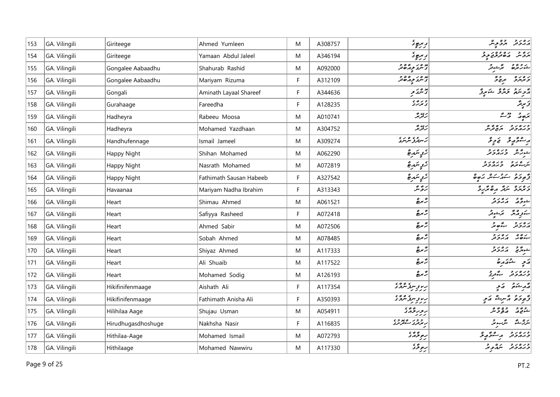| 153 | GA. Vilingili | Giriteege          | Ahmed Yumleen           | M           | A308757 | ۍ مربو ځ<br>تر برخ                                       | د ه د د د و و ه د                                                                                      |
|-----|---------------|--------------------|-------------------------|-------------|---------|----------------------------------------------------------|--------------------------------------------------------------------------------------------------------|
| 154 | GA. Vilingili | Giriteege          | Yamaan Abdul Jaleel     | M           | A346194 | ىر مرجوى<br>سرسرچ                                        | ر د ده ده ده د د د                                                                                     |
| 155 | GA. Vilingili | Gongalee Aabaadhu  | Shahurab Rashid         | M           | A092000 | پر ه ر په په د<br>  د سر <sub>کو</sub> پر ځور            | المشور من المحرك المحرك المحركة<br>المشور مركض المحرك المحرك                                           |
| 156 | GA. Vilingili | Gongalee Aabaadhu  | Mariyam Rizuma          | F           | A312109 | بر ه ر بر بر د<br>د سر <sub>کو</sub> پر ځ <sup>و</sup> ر |                                                                                                        |
| 157 | GA. Vilingili | Gongali            | Aminath Layaal Shareef  | F           | A344636 | ابره بر                                                  | ة وسرة المرتدمي المرتباني<br>أولا منها المرتدمي المرتباني<br>أمرية المرتبانية<br>المرتبانية المرتبانية |
| 158 | GA. Vilingili | Gurahaage          | Fareedha                | F           | A128235 | و ر بر د<br>د بور د                                      |                                                                                                        |
| 159 | GA. Vilingili | Hadheyra           | Rabeeu Moosa            | M           | A010741 | ر ۵ <i>۵ پ</i> ر<br>ر تو بو                              |                                                                                                        |
| 160 | GA. Vilingili | Hadheyra           | Mohamed Yazdhaan        | M           | A304752 | ر ۵ <i>۵ پ</i> ر<br>ر تو بو                              | כנסגב גם 20<br><i>בג</i> ונפינ ונשיננינ                                                                |
| 161 | GA. Vilingili | Handhufennage      | Ismail Jameel           | M           | A309274 | ر سروه و د ه<br>رسربرو سرس                               | وستوصفي وكالمحافي                                                                                      |
| 162 | GA. Vilingili | Happy Night        | Shihan Mohamed          | M           | A062290 | ر و پر پر ی                                              | شوره وره رو                                                                                            |
| 163 | GA. Vilingili | Happy Night        | Nasrath Mohamed         | M           | A072819 | <sup>ي</sup> پو پىرىم ھ                                  | د و د و د و د و د و                                                                                    |
| 164 | GA. Vilingili | Happy Night        | Fathimath Sausan Habeeb | F           | A327542 | <sup>ج</sup> بو سَر <sub>ْم</sub> ھ                      | و د د در دره کرده ه                                                                                    |
| 165 | GA. Vilingili | Havaanaa           | Mariyam Nadha Ibrahim   | $\mathsf F$ | A313343 | ىر ئەمە<br>سىرىپىتىر                                     | כמתכ יישל תפיליקל                                                                                      |
| 166 | GA. Vilingili | Heart              | Shimau Ahmed            | M           | A061521 | رًّى يورُح                                               | شوده بره دو                                                                                            |
| 167 | GA. Vilingili | Heart              | Safiyya Rasheed         | F           | A072418 | رًّى يورُح                                               | أيتوركر ترجير                                                                                          |
| 168 | GA. Vilingili | Heart              | Ahmed Sabir             | M           | A072506 | رًّى يورُح                                               | رەرد بەر                                                                                               |
| 169 | GA. Vilingili | Heart              | Sobah Ahmed             | M           | A078485 | رٌ برچ                                                   | بەۋە<br>پرور و                                                                                         |
| 170 | GA. Vilingili | Heart              | Shiyaz Ahmed            | M           | A117333 | رًّى يورُح                                               | <br>  شووگریخ<br> -<br>پروژو                                                                           |
| 171 | GA. Vilingili | Heart              | Ali Shuaib              | M           | A117522 | رًّسم ح                                                  | أوسم في المحمد المحمد                                                                                  |
| 172 | GA. Vilingili | Heart              | Mohamed Sodiq           | M           | A126193 | رًّسم ح                                                  | ورەرو ھەدى<br><i>جەم</i> ەرى سەترى                                                                     |
| 173 | GA. Vilingili | Hikifinifenmaage   | Aishath Ali             | F           | A117354 | ر رو مرد عدد دي.<br><u>ري د ر</u>                        | وكرمشتمو الكمح                                                                                         |
| 174 | GA. Vilingili | Hikifinifenmaage   | Fathimath Anisha Ali    | F           | A350393 | ار رو سرو سرچ<br>ار رو سرو سرچرۍ                         | و دو شرحه مو                                                                                           |
| 175 | GA. Vilingili | Hilihilaa Aage     | Shujau Usman            | M           | A054911 | اروروژه<br>اروروژه                                       | ے دور دورو د                                                                                           |
| 176 | GA. Vilingili | Hirudhugasdhoshuge | Nakhsha Nasir           | F           | A116835 | و و ر _ ه مو و ء<br>ر بوتری سوتوری                       | <i>مَرْدْ</i> تْ مُ <i>رْجِعْ</i>                                                                      |
| 177 | GA. Vilingili | Hithilaa-Aage      | Mohamed Ismail          | M           | A072793 | رە ۋەر<br>رىر قەرى                                       | כמחכני תפיצוב                                                                                          |
| 178 | GA. Vilingili | Hithilaage         | Mohamed Nawwiru         | M           | A117330 | رە ۋى<br>بەر                                             | ورەرد برە د                                                                                            |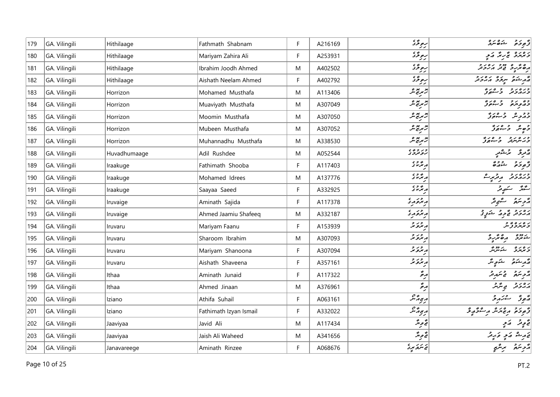| 179 | GA. Vilingili | Hithilaage   | Fathmath Shabnam       | F           | A216169 | ر و څه<br>ر د                | شەھ سرچ<br>ا تو پر پر د                   |
|-----|---------------|--------------|------------------------|-------------|---------|------------------------------|-------------------------------------------|
| 180 | GA. Vilingili | Hithilaage   | Mariyam Zahira Ali     | F           | A253931 | رەتى<br>رىرىپى               | ده ده ځريگه وکړ                           |
| 181 | GA. Vilingili | Hithilaage   | Ibrahim Joodh Ahmed    | M           | A402502 | ر پرې<br>رپوڅر               | دە ئەر 355 رەر 7                          |
| 182 | GA. Vilingili | Hithilaage   | Aishath Neelam Ahmed   | F.          | A402792 | رەتى<br>بەر                  | وكرمشتم سركر وبروتر                       |
| 183 | GA. Vilingili | Horrizon     | Mohamed Musthafa       | M           | A113406 | جر بریخ مگر                  | ورەرو وەرد<br>وردولار وسىبوق              |
| 184 | GA. Vilingili | Horrizon     | Muaviyath Musthafa     | M           | A307049 | بيح بر بيو چر                | وه ده و ه ده.<br>درگوهای و جنور           |
| 185 | GA. Vilingili | Horrizon     | Moomin Musthafa        | M           | A307050 | جرىيز چر                     | ورومر وبادر                               |
| 186 | GA. Vilingili | Horrizon     | Mubeen Musthafa        | M           | A307052 | بىر پىر ھ<br>سرىي مىر        | وه و و درو                                |
| 187 | GA. Vilingili | Horrizon     | Muhannadhu Musthafa    | M           | A338530 | جرىيز مىر                    | ور ەر د دەرد<br><i>دېر</i> س سر د سوپۇ    |
| 188 | GA. Vilingili | Huvadhumaage | Adil Rushdee           | M           | A052544 | و ر و د  ،<br>ره ترو  ړ      | پژور هم مشور<br>                          |
| 189 | GA. Vilingili | Iraakuge     | Fathimath Shooba       | F           | A117403 | د بو د ،<br>د بومړي          | تو بر د دره<br>توجود شده                  |
| 190 | GA. Vilingili | Iraakuge     | Mohamed Idrees         | M           | A137776 | دېږېږي                       | ورەر د مەرىپ                              |
| 191 | GA. Vilingili | Iraakuge     | Saayaa Saeed           | F           | A332925 | د پژره<br>د برنا د           | سەر سىمەتىر                               |
| 192 | GA. Vilingili | Iruvaige     | Aminath Sajida         | $\mathsf F$ | A117378 | وبرء وء                      | أأوسكم المستحيظ                           |
| 193 | GA. Vilingili | Iruvaige     | Ahmed Jaamiu Shafeeq   | M           | A332187 | و برء و                      | در در افزاد المسکور د                     |
| 194 | GA. Vilingili | Iruvaru      | Mariyam Faanu          | F           | A153939 | د بر د<br>د برو بر           | ر ه ر ه و و<br><del>د</del> بربرو ژ س     |
| 195 | GA. Vilingili | Iruvaru      | Sharoom Ibrahim        | M           | A307093 | وبره بر                      | دە ئەرد<br>ر دو ه<br>شو نورو              |
| 196 | GA. Vilingili | Iruvaru      | Mariyam Shanoona       | F           | A307094 | د بر د<br>د برو بر           | ے چوپیگر<br>ر ه ر ه<br><del>د</del> بربرگ |
| 197 | GA. Vilingili | Iruvaru      | Aishath Shaveena       | F           | A357161 | وبرة بر                      | شَدَهٍ مَّرَ<br>و مر شوه<br>م             |
| 198 | GA. Vilingili | Ithaa        | Aminath Junaid         | $\mathsf F$ | A117322 | برځ                          | قے سک <b>ہ</b> تر<br>أرمر تركيح           |
| 199 | GA. Vilingili | Ithaa        | Ahmed Jinaan           | M           | A376961 | برځ                          | رەرد يېڭرىتر                              |
| 200 | GA. Vilingili | Iziano       | Athifa Suhail          | F           | A063161 | ەي ۋىتر                      | سترتهر<br>پ <sup>ر</sup> جو قر            |
| 201 | GA. Vilingili | Iziano       | Fathimath Izyan Ismail | F           | A332022 | موجه محمر                    | רביבים המתמת השתפה<br>רבים המתמת השתפה    |
| 202 | GA. Vilingili | Jaaviyaa     | Javid Ali              | M           | A117434 | ة و پژ                       | ر<br>محموم مکم                            |
| 203 | GA. Vilingili | Jaaviyaa     | Jaish Ali Waheed       | M           | A341656 | ء<br>  قيم حر <sup>مگر</sup> | فكركش ككمج فكميتمر                        |
| 204 | GA. Vilingili | Janavareege  | Aminath Rinzee         | F           | A068676 | ىر مىرىگە مور <sup>ى</sup>   | أأدبتكم برسمي                             |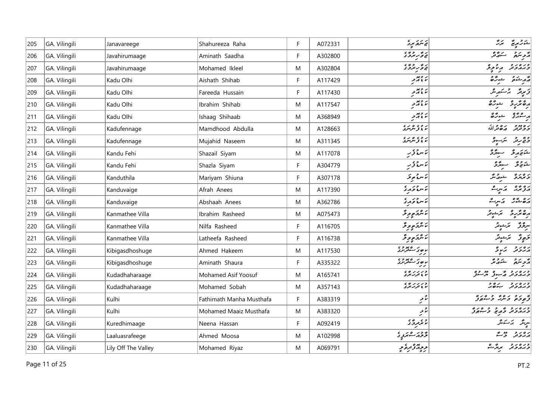| 205 | GA. Vilingili | Janavareege         | Shahureeza Raha          | F           | A072331 | <br>  نئے سرچ سرچ                      | المشركيريج أأتركز                                            |
|-----|---------------|---------------------|--------------------------|-------------|---------|----------------------------------------|--------------------------------------------------------------|
| 206 | GA. Vilingili | Javahirumaage       | Aminath Saadha           | $\mathsf F$ | A302800 | ر په روپر د<br>مح ځم مرحز <sub>ک</sub> | أأروح المتوفر                                                |
| 207 | GA. Vilingili | Javahirumaage       | Mohamed Ikleel           | M           | A302804 | ر و رو و ء<br>نح قر برو د              | ورەرو مارو                                                   |
| 208 | GA. Vilingili | Kadu Olhi           | Aishath Shihab           | F           | A117429 | ر ويو<br>ما ٤ آرم                      | و د د د د د د د د د د د<br>ماه د سنده د                      |
| 209 | GA. Vilingili | Kadu Olhi           | Fareeda Hussain          | F           | A117430 | ر ويو<br>ما ٤ آرم                      | ۇ بونۇ - جاسكىرىش                                            |
| 210 | GA. Vilingili | Kadu Olhi           | Ibrahim Shihab           | M           | A117547 | ر ويو<br>ما ٤ هرم                      | $rac{2}{3}$<br>شورگرھ<br>ر                                   |
| 211 | GA. Vilingili | Kadu Olhi           | Ishaag Shihaab           | M           | A368949 | ر دید<br>بر دید                        | $rac{1}{2}$                                                  |
| 212 | GA. Vilingili | Kadufennage         | Mamdhood Abdulla         | M           | A128663 | ر و ، ه ر ،<br>برو ترس                 | ر و دو به ده ترالله                                          |
| 213 | GA. Vilingili | Kadufennage         | Mujahid Naseem           | M           | A311345 | ر د ، ه ر ،<br>پړۍ مرس                 | وقارقه لترسوه                                                |
| 214 | GA. Vilingili | Kandu Fehi          | Shazail Siyam            | M           | A117078 | <mark>ئەسۇ ئ</mark> ۈپ                 | شويم د مشرده                                                 |
| 215 | GA. Vilingili | Kandu Fehi          | Shazla Siyam             | F           | A304779 | <mark>ئەسە ئ</mark> وس <sub>ى</sub>    | شەمۇ سەردە                                                   |
| 216 | GA. Vilingili | Kanduthila          | Mariyam Shiuna           | F           | A307178 | مَا سدْ موحَر                          | شەرقرىتر<br>ر ہ ر ہ<br><del>ر</del> بربر ژ                   |
| 217 | GA. Vilingili | Kanduvaige          | Afrah Anees              | M           | A117390 | ر<br>ئامىن ئۇر <sub>ى</sub>            | رەپرە كەسرى                                                  |
| 218 | GA. Vilingili | Kanduvaige          | Abshaah Anees            | M           | A362786 | ر سره و د و                            | أرەشى كەرب                                                   |
| 219 | GA. Vilingili | Kanmathee Villa     | Ibrahim Rasheed          | M           | A075473 | ر مر <sub>كز ت</sub> مورگر             | رە ئرىر ئىسىمىتى ئىشلىقى بىر                                 |
| 220 | GA. Vilingili | Kanmathee Villa     | Nilfa Rasheed            | F           | A116705 | ئەنگە ئۇغرىتى                          | ىر <i>ۇگە كەشىرى</i><br>ر                                    |
| 221 | GA. Vilingili | Kanmathee Villa     | Latheefa Rasheed         | F           | A116738 | ئەنگە ئەھرىگە                          | خبورٌ - مَرْشِيْرٌ                                           |
| 222 | GA. Vilingili | Kibigasdhoshuge     | Ahmed Hakeem             | M           | A117530 | <br>  ما جای مستوری<br>  مربر          | رەرو ئەدە                                                    |
| 223 | GA. Vilingili | Kibigasdhoshuge     | Aminath Shaura           | F           | A335322 | <br>  ما جای سود مرد دی<br>  مرد       | أروسكم المستور                                               |
| 224 | GA. Vilingili | Kudadhaharaage      | Mohamed Asif Yoosuf      | M           | A165741 | ۶ د ر ر د د<br>ما ٤ تور بوي            | כנסנפ וביינר וכפס<br><i>בה</i> וכנ <sub>י</sub> וביינר וביינ |
| 225 | GA. Vilingili | Kudadhaharaage      | Mohamed Sobah            | M           | A357143 | و ر ر ر » ،<br>ما ٤ تعرب بنوى          |                                                              |
| 226 | GA. Vilingili | Kulhi               | Fathimath Manha Musthafa | $\mathsf F$ | A383319 | د<br>ما مر                             | و د د ده و ه ده                                              |
| 227 | GA. Vilingili | Kulhi               | Mohamed Maaiz Musthafa   | M           | A383320 | و<br>ما مو                             |                                                              |
| 228 | GA. Vilingili | Kuredhimaage        | Neena Hassan             | F           | A092419 | و ۽ ره ۽<br>ما مولوگري                 | سرینٹر   پرکٹر                                               |
| 229 | GA. Vilingili | Laaluasrafeege      | Ahmed Moosa              | M           | A102998 | توجر ع بر بر<br>محر <i>د م</i> سمور    | رەر دىر                                                      |
| 230 | GA. Vilingili | Lily Off The Valley | Mohamed Riyaz            | M           | A069791 | و پرچمو تره پر                         | ورەرو برگرم                                                  |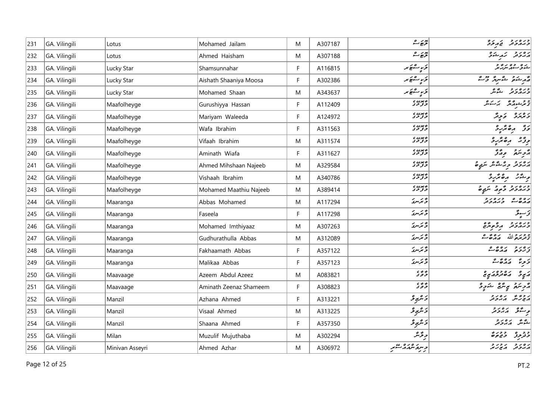| 231 | GA. Vilingili | Lotus           | Mohamed Jailam         | M  | A307187 | پر رہ<br>خر <u>ی</u> ج ک          | ورەرو ئەرگە                                           |
|-----|---------------|-----------------|------------------------|----|---------|-----------------------------------|-------------------------------------------------------|
| 232 | GA. Vilingili | Lotus           | Ahmed Haisham          | Μ  | A307188 | تتركات                            | أرەرو ئەيدۇ                                           |
| 233 | GA. Vilingili | Lucky Star      | Shamsunnahar           | F  | A116815 | ئۈرىشقىمە                         | ره وه ده د په<br>شوو سوړس پر                          |
| 234 | GA. Vilingili | Lucky Star      | Aishath Shaaniya Moosa | F. | A302386 | ئۈرىشى ئىر                        |                                                       |
| 235 | GA. Vilingili | Lucky Star      | Mohamed Shaan          | Μ  | A343637 | <sub>كحرم</sub> مصر<br>           | ورەرو شەھ                                             |
| 236 | GA. Vilingili | Maafolheyge     | Gurushiyya Hassan      | F  | A112409 | په پوه په<br><del>و</del> تو بو ب | و د مشوهر تر کر کرد.<br>تر مر شوهر تر کر کرد          |
| 237 | GA. Vilingili | Maafolheyge     | Mariyam Waleeda        | F  | A124972 | په پوه په<br><del>و</del> تو بو ب | رەرە كەچتر                                            |
| 238 | GA. Vilingili | Maafolheyge     | Wafa Ibrahim           | F  | A311563 | ەيدى ،<br>تركرىر                  | وَرَ رەپرْرِدْ                                        |
| 239 | GA. Vilingili | Maafolheyge     | Vifaah Ibrahim         | Μ  | A311574 | ه بودن تا<br>تر تو لو ی           | وزمه مره تر د                                         |
| 240 | GA. Vilingili | Maafolheyge     | Aminath Wiafa          | F  | A311627 | ه پون تا<br>تر تو تو ت            | أزويته وأزقر                                          |
| 241 | GA. Vilingili | Maafolheyge     | Ahmed Mihshaan Najeeb  | M  | A329584 | ه مورد ،<br><del>وگ</del> و و     | رور و و شهر سَرِ و آ                                  |
| 242 | GA. Vilingili | Maafolheyge     | Vishaah Ibrahim        | M  | A340786 | ەيدى ،<br>تركرىر                  | وڅنگ مۇمۇرۇ                                           |
| 243 | GA. Vilingili | Maafolheyge     | Mohamed Maathiu Najeeb | Μ  | A389414 | ەيدى ،<br>تركرىر                  |                                                       |
| 244 | GA. Vilingili | Maaranga        | Abbas Mohamed          | M  | A117294 | ۇ ئەسرىم                          | رەپ درەرد                                             |
| 245 | GA. Vilingili | Maaranga        | Faseela                | F  | A117298 | ۇ ئەسرىم                          | قرسید تھ                                              |
| 246 | GA. Vilingili | Maaranga        | Mohamed Imthiyaaz      | M  | A307263 | ۇ ئەسرىمە                         | כנסגב הפיתאם                                          |
| 247 | GA. Vilingili | Maaranga        | Gudhurathulla Abbas    | M  | A312089 | ۇ ئەسرىم                          | رەپچە<br>و و بر و اللّه<br>تح <b>مّر بمرم</b> ح اللّه |
| 248 | GA. Vilingili | Maaranga        | Fakhaamath Abbas       | F  | A357122 | ۇ ئەس <i>ى</i> كە                 | رورد ره ده به                                         |
| 249 | GA. Vilingili | Maaranga        | Malikaa Abbas          | F  | A357123 | ۇ ئەسرىر                          | 2501                                                  |
| 250 | GA. Vilingili | Maavaage        | Azeem Abdul Azeez      | Μ  | A083821 | پر دی<br>تربی                     | ره وه در په ه<br>مان مرکزم نبي ن<br>ەسىمى             |
| 251 | GA. Vilingili | Maavaage        | Aminath Zeenaz Shameem | F  | A308823 | و و ،<br>و و د                    | مُرْدِسَمَ بِي سُجْ شَرْدٍ وُ                         |
| 252 | GA. Vilingili | Manzil          | Azhana Ahmed           | F  | A313221 | ئەمپرى <sub>ۋ</sub>               | أروم مدورو                                            |
| 253 | GA. Vilingili | Manzil          | Visaal Ahmed           | M  | A313225 | ئەمى <i>تى بى</i>                 | وسگو پرور د                                           |
| 254 | GA. Vilingili | Manzil          | Shaana Ahmed           | F. | A357350 | ئەنگە بو                          | شَرْ شَرْ دَرْ دَرْ                                   |
| 255 | GA. Vilingili | Milan           | Muzulif Mujuthaba      | M  | A302294 | جرمحمد                            | و و ر پر<br>ح تع ځو ځ<br>  3 نتر عر قر                |
| 256 | GA. Vilingili | Minivan Asseyri | Ahmed Azhar            | Μ  | A306972 | اح سره مردم عدد المستقر           | גם גם גבר ב                                           |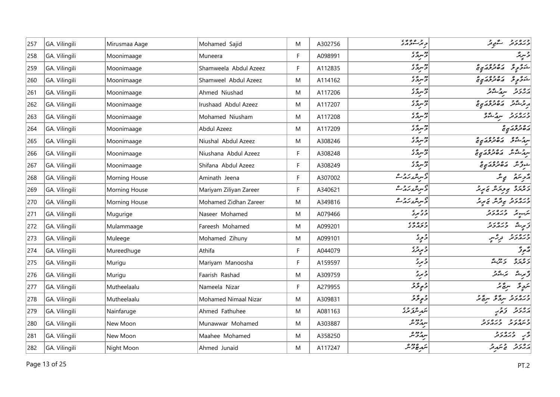| 257 | GA. Vilingili | Mirusmaa Aage        | Mohamed Sajid          | M  | A302756 | د برگوری<br>د برگسود د د             | ورەر د گەنجەتر                                                                                                                                                                                                                                                                                                                 |
|-----|---------------|----------------------|------------------------|----|---------|--------------------------------------|--------------------------------------------------------------------------------------------------------------------------------------------------------------------------------------------------------------------------------------------------------------------------------------------------------------------------------|
| 258 | GA. Vilingili | Moonimaage           | Muneera                | F. | A098991 | ود سرځ په<br>تر سرچ <sub>ک</sub>     | د سرپر                                                                                                                                                                                                                                                                                                                         |
| 259 | GA. Vilingili | Moonimaage           | Shamweela Abdul Azeez  | F. | A112835 | ود سرچ ی<br>څسرچ <sub>ک</sub>        | شرور دەرەر بە                                                                                                                                                                                                                                                                                                                  |
| 260 | GA. Vilingili | Moonimaage           | Shamweel Abdul Azeez   | M  | A114162 | ود سرچ ی<br>تر سرچ <sub>ک</sub>      |                                                                                                                                                                                                                                                                                                                                |
| 261 | GA. Vilingili | Moonimaage           | Ahmed Niushad          | M  | A117206 | ود سرچ ی<br>څسرچ <sub>ک</sub>        | נים נים מדיניים ביותר ביותר ביותר ביותר ביותר ביותר ביותר ביותר ביותר ביותר ביותר ביותר ביותר ביותר ביותר ביות<br>המודעים ביותר ביותר ביותר ביותר ביותר ביותר ביותר ביותר ביותר ביותר ביותר ביותר ביותר ביותר ביותר ביותר ביותר                                                                                                |
| 262 | GA. Vilingili | Moonimaage           | Irushaad Abdul Azeez   | M  | A117207 | دو په په<br>د سرچ د                  | مر شود ده ده ده م                                                                                                                                                                                                                                                                                                              |
| 263 | GA. Vilingili | Moonimaage           | Mohamed Niusham        | M  | A117208 | دو په په<br>تر سرچر                  | ورەرو سردىقو                                                                                                                                                                                                                                                                                                                   |
| 264 | GA. Vilingili | Moonimaage           | Abdul Azeez            | M  | A117209 | دو<br>ترسرچۍ                         | ړه وه ر<br>גە قرىر پرې                                                                                                                                                                                                                                                                                                         |
| 265 | GA. Vilingili | Moonimaage           | Niushal Abdul Azeez    | M  | A308246 | ود پرېږي<br>تر سرچ <sub>ک</sub>      | ر د ده ده ده ده د ه<br>سرز شوش مان ده در دم پای                                                                                                                                                                                                                                                                                |
| 266 | GA. Vilingili | Moonimaage           | Niushana Abdul Azeez   | F  | A308248 | ود سرچری                             | سر مشتر مصر ده در په                                                                                                                                                                                                                                                                                                           |
| 267 | GA. Vilingili | Moonimaage           | Shifana Abdul Azeez    | F. | A308249 | ود پرېږي<br>تر سرچ <sub>ک</sub>      | شور مره ده در ه<br>شور شر مان مردم ی                                                                                                                                                                                                                                                                                           |
| 268 | GA. Vilingili | Morning House        | Aminath Jeena          | F  | A307002 | ە بىر سى <i>گەنگە</i> ر م            | ړٌ د سَمَرُ مَمْ سِرٌ                                                                                                                                                                                                                                                                                                          |
| 269 | GA. Vilingili | Morning House        | Mariyam Ziliyan Zareer | F  | A340621 | ە بىر شە <u>رتە ئى</u> ر             | ويمركو بإوركش لمهر                                                                                                                                                                                                                                                                                                             |
| 270 | GA. Vilingili | <b>Morning House</b> | Mohamed Zidhan Zareer  | M  | A349816 | چ مرب <i>تری رَ ج</i> ر ہے<br>       | وره رو پروگر کا کار کر                                                                                                                                                                                                                                                                                                         |
| 271 | GA. Vilingili | Mugurige             | Naseer Mohamed         | M  | A079466 | و و<br>تر ی مور                      | $\begin{bmatrix} 1 & 0 & 0 & 0 \\ 0 & 0 & 0 & 0 \\ 0 & 0 & 0 & 0 \\ 0 & 0 & 0 & 0 \\ 0 & 0 & 0 & 0 \\ 0 & 0 & 0 & 0 \\ 0 & 0 & 0 & 0 \\ 0 & 0 & 0 & 0 \\ 0 & 0 & 0 & 0 \\ 0 & 0 & 0 & 0 \\ 0 & 0 & 0 & 0 \\ 0 & 0 & 0 & 0 & 0 \\ 0 & 0 & 0 & 0 & 0 \\ 0 & 0 & 0 & 0 & 0 \\ 0 & 0 & 0 & 0 & 0 \\ 0 & 0 & 0 & 0 & 0 \\ 0 & 0 & $ |
| 272 | GA. Vilingili | Mulammaage           | Fareesh Mohamed        | M  | A099201 | و ره و »<br>تر په ژ                  | تر پرے دیے دیے                                                                                                                                                                                                                                                                                                                 |
| 273 | GA. Vilingili | Muleege              | Mohamed Zihuny         | M  | A099101 | و مور<br>مرمور                       | ورەرو نورىر                                                                                                                                                                                                                                                                                                                    |
| 274 | GA. Vilingili | Mureedhuge           | Athifa                 | F  | A044079 | و <sub>مو</sub> تر و<br>تر موتر د    | وتمعجوقر                                                                                                                                                                                                                                                                                                                       |
| 275 | GA. Vilingili | Murigu               | Mariyam Manoosha       | F. | A159597 | و<br>تر بوري                         | ر ه بر ه<br><del>د</del> بر بر د<br>كر فيزينگم                                                                                                                                                                                                                                                                                 |
| 276 | GA. Vilingili | Murigu               | Faarish Rashad         | M  | A309759 | و برد<br>و برد                       | ۇ برىشە<br>ىر شەر<br>بىرىشەنىر                                                                                                                                                                                                                                                                                                 |
| 277 | GA. Vilingili | Mutheelaalu          | Nameela Nizar          | F  | A279955 | ۇمۇقر                                | للأوقى الرئج تر                                                                                                                                                                                                                                                                                                                |
| 278 | GA. Vilingili | Mutheelaalu          | Mohamed Nimaal Nizar   | M  | A309831 | د موتر د<br>ر <sub>و</sub> تر تر     | ورەرو سرگە سرگاند                                                                                                                                                                                                                                                                                                              |
| 279 | GA. Vilingili | Nainfaruge           | Ahmed Fathuhee         | M  | A081163 | ىئىدىشتى <i> تە</i>                  | رەرد روپە                                                                                                                                                                                                                                                                                                                      |
| 280 | GA. Vilingili | New Moon             | Munawwar Mohamed       | M  | A303887 | سردود مر                             | כנסנכ כנסנכ<br>בייט <i>ופינ בגובינ</i>                                                                                                                                                                                                                                                                                         |
| 281 | GA. Vilingili | New Moon             | Maahee Mohamed         | M  | A358250 | سرد دو ه                             | ور دره در د                                                                                                                                                                                                                                                                                                                    |
| 282 | GA. Vilingili | Night Moon           | Ahmed Junaid           | M  | A117247 | ىئە <sub>م</sub> ۋ <sup>ەد ي</sup> ر |                                                                                                                                                                                                                                                                                                                                |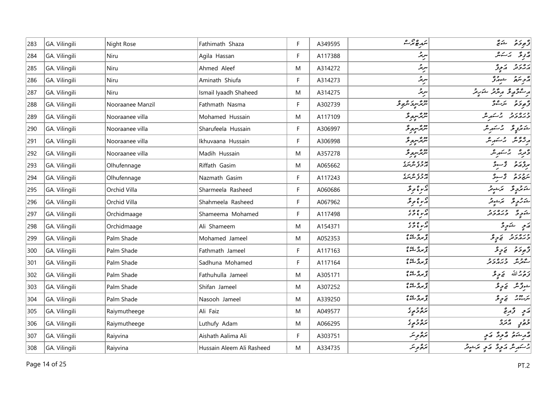| 283 | GA. Vilingili | Night Rose       | Fathimath Shaza           | F  | A349595 | سَرە جوڭ                                 | د<br>دوځه شته<br>مترنه ټرخه                      |
|-----|---------------|------------------|---------------------------|----|---------|------------------------------------------|--------------------------------------------------|
| 284 | GA. Vilingili | Niru             | Agila Hassan              | F. | A117388 | سرچر                                     |                                                  |
| 285 | GA. Vilingili | Niru             | Ahmed Aleef               | M  | A314272 | سرچر                                     | رور <del>د</del> کردو<br>مددور کردو              |
| 286 | GA. Vilingili | <b>Niru</b>      | Aminath Shiufa            | F. | A314273 | سرچر                                     | أأروبتهم سوارق                                   |
| 287 | GA. Vilingili | Niru             | Ismail Iyaadh Shaheed     | M  | A314275 | سرچر                                     | و حوګړو و گړو خری                                |
| 288 | GA. Vilingili | Nooraanee Manzil | Fathmath Nasma            | F. | A302739 | ترىز <sub>سرى</sub> ز سر <sub>ىر</sub> ۋ | و دو بره و                                       |
| 289 | GA. Vilingili | Nooraanee villa  | Mohamed Hussain           | M  | A117109 | يزېژ <sub>مبرو</sub> ئ <sup>و</sup>      | ورەرو ورىدىگ                                     |
| 290 | GA. Vilingili | Nooraanee villa  | Sharufeela Hussain        | F  | A306997 | يز پژ <sub>سوم</sub> ژ                   | ڪنگرو ٿي گريگريش                                 |
| 291 | GA. Vilingili | Nooraanee villa  | Ikhuvaana Hussain         | F  | A306998 | يزىر<br>سرىر سرە مۇ                      | ەر ئەھەر بەسكەر                                  |
| 292 | GA. Vilingili | Nooraanee villa  | Madih Hussain             | M  | A357278 | تربر يبر <sub>عر</sub> بحر               | وحمد بالمستمر مثر                                |
| 293 | GA. Vilingili | Olhufennage      | Riffath Gasim             | M  | A065662 | پر د ، ه ر ،<br>مرکز سرسری               | برورد ويحسده                                     |
| 294 | GA. Vilingili | Olhufennage      | Nazmath Gasim             | F  | A117243 | بر د ، ه ر ،<br>مرکز سرسری               | برورد ويجسره                                     |
| 295 | GA. Vilingili | Orchid Villa     | Sharmeela Rasheed         | F  | A060686 | ېر په عوم <b>ت</b> ر                     | لمكافرونج المرشوقر                               |
| 296 | GA. Vilingili | Orchid Villa     | Shahmeela Rasheed         | F  | A067962 | ەر بە ئوقر                               | شركرو كرشونر                                     |
| 297 | GA. Vilingili | Orchidmaage      | Shameema Mohamed          | F  | A117498 |                                          | شروحه وره رو                                     |
| 298 | GA. Vilingili | Orchidmaage      | Ali Shameem               | M  | A154371 |                                          | أركمني المستوجر                                  |
| 299 | GA. Vilingili | Palm Shade       | Mohamed Jameel            | M  | A052353 | ۇ برويە ۋ                                | ورەرو ئەچ                                        |
| 300 | GA. Vilingili | Palm Shade       | Fathmath Jameel           | F. | A117163 | ېژېر د ۹۷ و                              | وٌمودَهُ يَجرِدُ                                 |
| 301 | GA. Vilingili | Palm Shade       | Sadhuna Mohamed           | F  | A117164 | ۇ برويە ۋ                                | و رە ر د<br><i>د بە</i> گەر<br>شە 5 م<br>سەنىرىش |
| 302 | GA. Vilingili | Palm Shade       | Fathuhulla Jameel         | M  | A305171 | ۇ برويە ۋ                                | ترترج الله تح يوعر                               |
| 303 | GA. Vilingili | Palm Shade       | Shifan Jameel             | M  | A307252 | ۇ برەييە ە                               | جوگر تج و پ                                      |
| 304 | GA. Vilingili | Palm Shade       | Nasooh Jameel             | M  | A339250 | ۇ برويە ۋ                                | برجوح المحافية في                                |
| 305 | GA. Vilingili | Raiymutheege     | Ali Faiz                  | M  | A049577 | ره د پ<br>مر <sub>گ</sub> ورې د          | $rac{1}{5}$ $rac{1}{5}$ $rac{1}{5}$              |
| 306 | GA. Vilingili | Raiymutheege     | Luthufy Adam              | M  | A066295 | ر ه د<br>برموح م <sub>و</sub> ر          | خهجور<br>پر و<br>مرکز                            |
| 307 | GA. Vilingili | Raiyvina         | Aishath Aalima Ali        | F. | A303751 | ترةوعبئر                                 |                                                  |
| 308 | GA. Vilingili | Raiyvina         | Hussain Aleem Ali Rasheed | M  | A334735 | ترقوعه يئر                               | ي ڪري ڪالي جي انگريڪو                            |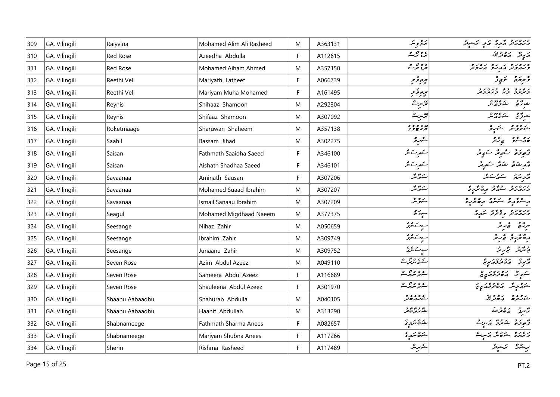| 309 | GA. Vilingili | Raiyvina        | Mohamed Alim Ali Rasheed | M  | A363131 | برە پېڭر                           | ورەرو گروۋ كەي ترىشوتر                             |
|-----|---------------|-----------------|--------------------------|----|---------|------------------------------------|----------------------------------------------------|
| 310 | GA. Vilingili | Red Rose        | Azeedha Abdulla          | F. | A112615 | <sup>ی ہ م</sup> ی ہے              | أَصَبِي قَدْ صَصْحْدَاللَّهُ                       |
| 311 | GA. Vilingili | Red Rose        | Mohamed Aiham Ahmed      | M  | A357150 | <sup>ي ه م</sup> رم ه<br>مربع مر ک | 2010 1 1 1019<br>כממכת ממיכ ממכת                   |
| 312 | GA. Vilingili | Reethi Veli     | Mariyath Latheef         | F  | A066739 | ىرە ۋىر<br>ئ <sup>ەر</sup>         | وتمريره تزوو                                       |
| 313 | GA. Vilingili | Reethi Veli     | Mariyam Muha Mohamed     | F  | A161495 | برە ۋىر<br>ئ                       | נסנס כד כנסנב<br>במחב כג בגובת                     |
| 314 | GA. Vilingili | Reynis          | Shihaaz Shamoon          | M  | A292304 | ع<br>مرسر م                        | د د د ده ده ور د ور د کلی<br>مشور د کلی مشور د کلی |
| 315 | GA. Vilingili | Reynis          | Shifaaz Shamoon          | M  | A307092 | ئۇسرىقە                            | شەھ جەھر<br>سىبوگىج                                |
| 316 | GA. Vilingili | Roketmaage      | Sharuwan Shaheem         | M  | A357138 | یر ی ه و ی<br>تر را جا تر ی        | شەمرەش شەرە                                        |
| 317 | GA. Vilingili | Saahil          | Bassam Jihad             | M  | A302275 | شەر بۇ                             | ره در در<br>۱۵ کرد ورتر                            |
| 318 | GA. Vilingili | Saisan          | Fathmath Saaidha Saeed   | F. | A346100 | اسەرسەمىر                          | و دو شهرته سوړته                                   |
| 319 | GA. Vilingili | Saisan          | Aishath Shadhaa Saeed    | F  | A346101 | سەرسەنگە                           | مەرىشىمى ئىنىڭ سىرىدىگ                             |
| 320 | GA. Vilingili | Savaanaa        | Aminath Sausan           | F  | A307206 | ىسە ئەتىر                          | ۇ بىر ئەربىر                                       |
| 321 | GA. Vilingili | Savaanaa        | Mohamed Suaad Ibrahim    | M  | A307207 | ىە ئەشر                            | כנסני - כשיב הסתנים                                |
| 322 | GA. Vilingili | Savaanaa        | Ismail Sanaau Ibrahim    | M  | A307209 | ىە ئۇ ئىر                          | رە ئەر ئەسىم مەھكرە                                |
| 323 | GA. Vilingili | Seagul          | Mohamed Migdhaad Naeem   | M  | A377375 | سەر بۇ                             | ورەرو دۆترىر ش <sub>ە</sub> ۋ                      |
| 324 | GA. Vilingili | Seesange        | Nihaz Zahir              | M  | A050659 | سەسەھرى                            | سررتنج تخریر                                       |
| 325 | GA. Vilingili | Seesange        | Ibrahim Zahir            | M  | A309749 | ا په په ټورند                      | مەھەر بەر ئەرىر                                    |
| 326 | GA. Vilingili | Seesange        | Junaanu Zahir            | M  | A309752 | اب مەنتەتلەر<br>ئ                  | فے مگر سی سی کر سی                                 |
| 327 | GA. Vilingili | Seven Rose      | Azim Abdul Azeez         | M  | A049110 | <u>، ، ، ، ، ،</u>                 | גם כסגם<br>הסטרתה ה<br>وحميى                       |
| 328 | GA. Vilingili | Seven Rose      | Sameera Abdul Azeez      | F  | A116689 | <u>ء ۽ ويري</u>                    | سكوند رە دەرى                                      |
| 329 | GA. Vilingili | Seven Rose      | Shauleena Abdul Azeez    | F  | A301970 | <u>۽ ۽ وي</u> و                    | شرو چې پره ده د کړې                                |
| 330 | GA. Vilingili | Shaahu Aabaadhu | Shahurab Abdulla         | M  | A040105 | په <i>د و</i> و د<br>شرمره تر      | شروع رووالله                                       |
| 331 | GA. Vilingili | Shaahu Aabaadhu | Haanif Abdullah          | M  | A313290 | ش <sup>ە</sup> جەم بەر             | ئەسر كەھەراللە                                     |
| 332 | GA. Vilingili | Shabnameege     | Fathmath Sharma Anees    | F  | A082657 | ے ک <i>ے سرچ</i> ر                 | توجوج شمرد وسرت                                    |
| 333 | GA. Vilingili | Shabnameege     | Mariyam Shubna Anees     | F. | A117266 | ے ک <i>ے سرح کی</i>                | נפנס בכבי התני                                     |
| 334 | GA. Vilingili | Sherin          | Rishma Rasheed           | F  | A117489 | ائىيە<br>—                         | مرڪو تم مرڪونر                                     |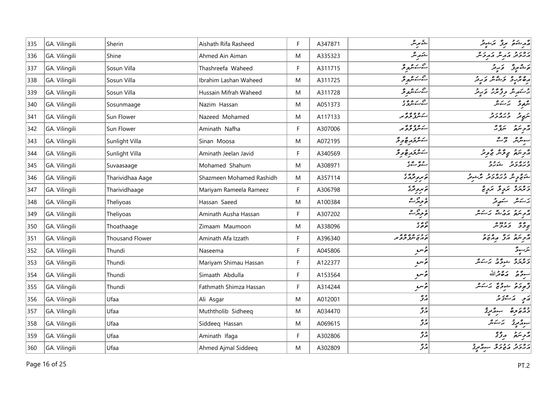| 335 | GA. Vilingili | Sherin           | Aishath Rifa Rasheed     | F  | A347871 | ڪ مريگر<br>م                        | ە ئەسكەنى بىرۇ بىرىشوش                                    |
|-----|---------------|------------------|--------------------------|----|---------|-------------------------------------|-----------------------------------------------------------|
| 336 | GA. Vilingili | Shine            | Ahmed Ain Aiman          | M  | A335323 | شەر بىر                             | גפגב ג'קייל ג'קבייל                                       |
| 337 | GA. Vilingili | Sosun Villa      | Thashreefa Waheed        | F. | A311715 | استمتعفر                            | كالمشهرة كالرقر                                           |
| 338 | GA. Vilingili | Sosun Villa      | Ibrahim Lashan Waheed    | M  | A311725 | <u>ش ئەشرو ئە</u>                   | مەندىق كەشكى كەيلى                                        |
| 339 | GA. Vilingili | Sosun Villa      | Hussain Mifrah Waheed    | M  | A311728 | <u>مەسە ئەرە</u>                    | برسكر عزو ويؤثر أورد                                      |
| 340 | GA. Vilingili | Sosunmaage       | Nazim Hassan             | M  | A051373 | <u>م ئەيدى ئ</u>                    | لترفو بريمثر                                              |
| 341 | GA. Vilingili | Sun Flower       | Nazeed Mohamed           | M  | A117133 | سەمىر ئۇ ئەير                       | سَيِّيْتُ وَيَامُ وَيَا                                   |
| 342 | GA. Vilingili | Sun Flower       | Aminath Nafha            | F. | A307006 | ر ە ە ە بەير<br>سەمبىر بۇ <i>بۇ</i> | أأترجع الترويج                                            |
| 343 | GA. Vilingili | Sunlight Villa   | Sinan Moosa              | M  | A072195 | سەمىر <i>ۇر ھ<sub>ا</sub>م</i> ۇ    | سىتكە ئۇس                                                 |
| 344 | GA. Vilingili | Sunlight Villa   | Aminath Jeelan Javid     | F  | A340569 | سەمىز ئەھ بۇ ئى                     | مزويتم ويؤثر فأوثر                                        |
| 345 | GA. Vilingili | Suvaasaage       | Mohamed Shahum           | M  | A308971 | <u>ر ژه په پ</u>                    | ورەر د دود<br><i>ورەدو</i> ر خەرو                         |
| 346 | GA. Vilingili | Tharividhaa Aage | Shazmeen Mohamed Rashidh | M  | A357114 | ر<br>موسر و تروم                    | شكوه ورورو كرشوتر                                         |
| 347 | GA. Vilingili | Tharividhaage    | Mariyam Rameela Rameez   | F. | A306798 | پروتری<br>  سرم                     | د ورو ټرو تروغ                                            |
| 348 | GA. Vilingili | Theliyoas        | Hassan Saeed             | M  | A100384 | ومحرمره                             | يركبش كتمريز                                              |
| 349 | GA. Vilingili | Theliyoas        | Aminath Ausha Hassan     | F  | A307202 | ەممەر م                             | ۇ رو روپۇ ئەسەر                                           |
| 350 | GA. Vilingili | Thoathaage       | Zimaam Maumoon           | M  | A338096 | ج ءِ ۽<br>حوم <sub>ک</sub>          | بے <i>272 – 273 می</i><br>م                               |
| 351 | GA. Vilingili | Thousand Flower  | Aminath Afa Izzath       | F. | A396340 | ر در ۵۵ وی.<br>به دې سرو څوگه س     |                                                           |
| 352 | GA. Vilingili | Thundi           | Naseema                  | F. | A045806 | اقهسعر                              | ىئەسەدىچە<br>ئە                                           |
| 353 | GA. Vilingili | Thundi           | Mariyam Shimau Hassan    | F  | A122377 | اقوسع                               | ويرمرو جرؤها بركس                                         |
| 354 | GA. Vilingili | Thundi           | Simaath Abdulla          | F  | A153564 | اقوسع                               | بحقيق مكافرالله                                           |
| 355 | GA. Vilingili | Thundi           | Fathmath Shimza Hassan   | F  | A314244 | أحوسع                               | توجوج حوج بركش                                            |
| 356 | GA. Vilingili | Ufaa             | Ali Asgar                | M  | A012001 | پۇ                                  | أماسي مالك ويرج                                           |
| 357 | GA. Vilingili | Ufaa             | Muththolib Sidheeq       | M  | A034470 | پرمخ                                | وه د ه<br><i>د</i> د پروه جوړنونونو                       |
| 358 | GA. Vilingili | Ufaa             | Siddeeq Hassan           | M  | A069615 | پرس                                 | سور مورتي - بركستر<br>- مركز - بركستر<br>- مركز - مركز تي |
| 359 | GA. Vilingili | Ufaa             | Aminath Ifaga            | F  | A302806 | پەيچ                                |                                                           |
| 360 | GA. Vilingili | Ufaa             | Ahmed Ajmal Siddeeq      | M  | A302809 | پۇ                                  | ן פיני גינים היקיקית.<br>הגבת הבכיר היקיקית               |
|     |               |                  |                          |    |         |                                     |                                                           |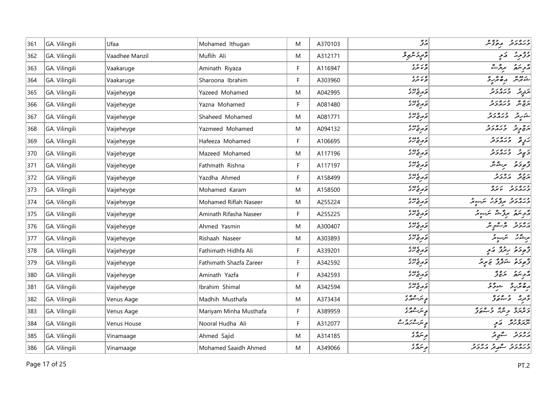| 361 | GA. Vilingili | Ufaa           | Mohamed Ithugan         | M  | A370103 | دوسي                          | ورەرو دەرە<br>جەمەدىر مەتىس            |
|-----|---------------|----------------|-------------------------|----|---------|-------------------------------|----------------------------------------|
| 362 | GA. Vilingili | Vaadhee Manzil | Muflih Ali              | M  | A312171 | قەرىر شىر ۋ                   | 3 وگرمر <sup>2</sup>                   |
| 363 | GA. Vilingili | Vaakaruge      | Aminath Riyaza          | F  | A116947 | په بر و ،<br>حرم موړ          | أرمز تر                                |
| 364 | GA. Vilingili | Vaakaruge      | Sharoona Ibrahim        | F. | A303960 | په بر و ،<br>حرم موړ          | شويرش مرەمجرىر                         |
| 365 | GA. Vilingili | Vaijeheyge     | Yazeed Mohamed          | M  | A042995 | ر<br>  تو در ج ر <sub>ک</sub> | أترنور ورورد                           |
| 366 | GA. Vilingili | Vaijeheyge     | Yazna Mohamed           | F  | A081480 | <br>  تەمرىغ رى               | ره شهر دره د و<br>در جنگر از جهان مرکز |
| 367 | GA. Vilingili | Vaijeheyge     | Shaheed Mohamed         | M  | A081771 | ر<br>تو در ج ر د              | شكريتر وبروبرو                         |
| 368 | GA. Vilingili | Vaijeheyge     | Yazmeed Mohamed         | M  | A094132 | ر<br>  تو در ج ر د            | ת בינה בגם גב                          |
| 369 | GA. Vilingili | Vaijeheyge     | Hafeeza Mohamed         | F. | A106695 | ر<br>  تو مربع رئ             | برويح وره رو                           |
| 370 | GA. Vilingili | Vaijeheyge     | Mazeed Mohamed          | M  | A117196 | ر<br>  د مړين د د             | د په د ۲۵۷۶ ور د                       |
| 371 | GA. Vilingili | Vaijeheyge     | Fathmath Rishna         | F. | A117197 | ر<br>تو در ج ر د              | ۇۋۇۋە برىشىر                           |
| 372 | GA. Vilingili | Vaijeheyge     | Yazdha Ahmed            | F. | A158499 | ر<br>  تو مربع رئ             | بروی برور و                            |
| 373 | GA. Vilingili | Vaijeheyge     | Mohamed Karam           | M  | A158500 | <br>  تو پر بی ر <sub>ک</sub> | כנסנכ ננס                              |
| 374 | GA. Vilingili | Vaijeheyge     | Mohamed Riflah Naseer   | M  | A255224 | ر<br>  تو پر بی ر بی          | ورەرو بروۋژ ترىپەتر                    |
| 375 | GA. Vilingili | Vaijeheyge     | Aminath Rifasha Naseer  | F  | A255225 | ر<br>  تو پر قوری             | أزويتم برزمة يتهويز                    |
| 376 | GA. Vilingili | Vaijeheyge     | Ahmed Yasmin            | M  | A300407 | ر<br>حەرقى رى                 | ره رو په عرصر مر                       |
| 377 | GA. Vilingili | Vaijeheyge     | Rishaah Naseer          | M  | A303893 | پر پی پی<br>  پی مربی         | أبريش كرسوبر                           |
| 378 | GA. Vilingili | Vaijeheyge     | Fathimath Hidhfa Ali    | F  | A339201 | ر<br>  د مړين د د             | وٌمِ وَمَعْ رِسْرُوٌ الْأَمْرِ         |
| 379 | GA. Vilingili | Vaijeheyge     | Fathimath Shazfa Zareer | F. | A342592 | ر<br>  تو مربع رئ             | وٌجودَهُ شَهْرُوٌ نَاسٍ                |
| 380 | GA. Vilingili | Vaijeheyge     | Aminath Yazfa           | F  | A342593 | ر<br>  تو مربع رئ             | הכיתם תשל                              |
| 381 | GA. Vilingili | Vaijeheyge     | Ibrahim Shimal          | M  | A342594 | ر<br>  تو مربع رئ             | رەڭرى ھۇڭ                              |
| 382 | GA. Vilingili | Venus Aage     | Madhih Musthafa         | M  | A373434 | موسكر موسم ج                  | وٌمرِرٌ وَسِعِووٌ                      |
| 383 | GA. Vilingili | Venus Aage     | Mariyam Minha Musthafa  | F  | A389959 | مەرسىقىدى                     | נפנם <sub>קיטל</sub> בהופנ             |
| 384 | GA. Vilingili | Venus House    | Nooral Hudha Ali        | F. | A312077 | مەر ئەر جەر شە                | حوره و به سر کرم پر                    |
| 385 | GA. Vilingili | Vinamaage      | Ahmed Sajid             | M  | A314185 | ویئرچری                       | رەرو ئور                               |
| 386 | GA. Vilingili | Vinamaage      | Mohamed Saaidh Ahmed    | M  | A349066 | عر پر دی                      | ورەروپە ئەدەرە                         |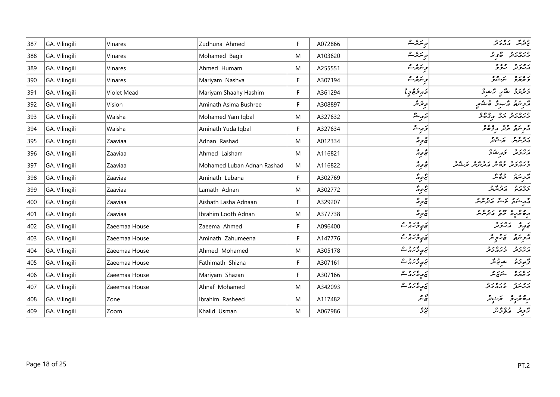| 387 | GA. Vilingili | Vinares       | Zudhuna Ahmed              | $\mathsf F$ | A072866 | <sub>ج</sub> سر پڑے                                                                                                                                                                                                                                                                                                                                                                                                         | ا دو به بره د و<br>ای ترس که بر تر           |
|-----|---------------|---------------|----------------------------|-------------|---------|-----------------------------------------------------------------------------------------------------------------------------------------------------------------------------------------------------------------------------------------------------------------------------------------------------------------------------------------------------------------------------------------------------------------------------|----------------------------------------------|
| 388 | GA. Vilingili | Vinares       | Mohamed Bagir              | M           | A103620 | موسَد عمر م                                                                                                                                                                                                                                                                                                                                                                                                                 | ورەرو ھۆيۈ                                   |
| 389 | GA. Vilingili | Vinares       | Ahmed Humam                | M           | A255551 | په پرځه ک                                                                                                                                                                                                                                                                                                                                                                                                                   | ッシン<br>  پر ۱۵ ر و                           |
| 390 | GA. Vilingili | Vinares       | Mariyam Nashva             | F           | A307194 | ە ئىر ئەرگ                                                                                                                                                                                                                                                                                                                                                                                                                  | د ۱۵ د ۱۵ د ۱۵ په<br>  د بربرو په سرشو و     |
| 391 | GA. Vilingili | Violet Mead   | Mariyam Shaahy Hashim      | $\mathsf F$ | A361294 | وَرِدْعْ جِ ؟                                                                                                                                                                                                                                                                                                                                                                                                               | د وبرو څې رموو                               |
| 392 | GA. Vilingili | Vision        | Aminath Asima Bushree      | F           | A308897 | ءِ بَرَ مَرْ                                                                                                                                                                                                                                                                                                                                                                                                                | أأدبتهم أأسرد كالحشير                        |
| 393 | GA. Vilingili | Waisha        | Mohamed Yam Iqbal          | M           | A327632 | تەرىشە                                                                                                                                                                                                                                                                                                                                                                                                                      | כנסג כ גם הששירים                            |
| 394 | GA. Vilingili | Waisha        | Aminath Yuda Iqbal         | F.          | A327634 | تەرىشە                                                                                                                                                                                                                                                                                                                                                                                                                      | ג הזה היה היום ב                             |
| 395 | GA. Vilingili | Zaaviaa       | Adnan Rashad               | M           | A012334 | تج عربمً                                                                                                                                                                                                                                                                                                                                                                                                                    | پر ویژه ته برخور                             |
| 396 | GA. Vilingili | Zaaviaa       | Ahmed Laisham              | M           | A116821 | التج ح <sub>ر</sub> مَّة                                                                                                                                                                                                                                                                                                                                                                                                    | أربرونه تحديثكم                              |
| 397 | GA. Vilingili | Zaaviaa       | Mohamed Luban Adnan Rashad | M           | A116822 | انج <sub>حر</sub> مز                                                                                                                                                                                                                                                                                                                                                                                                        | ورەرو وەە روشۇ رىمۇ                          |
| 398 | GA. Vilingili | Zaaviaa       | Aminath Lubana             | F.          | A302769 | تج عربمًّ                                                                                                                                                                                                                                                                                                                                                                                                                   | أزدينهم فرضتر                                |
| 399 | GA. Vilingili | Zaaviaa       | Lamath Adnan               | M           | A302772 | پر مرگز<br>م                                                                                                                                                                                                                                                                                                                                                                                                                | رەرد روشر                                    |
| 400 | GA. Vilingili | Zaaviaa       | Aishath Lasha Adnaan       | F           | A329207 | تج عربمً                                                                                                                                                                                                                                                                                                                                                                                                                    | <i>وگە</i> جۇڭ كەترىگرىل                     |
| 401 | GA. Vilingili | Zaaviaa       | Ibrahim Looth Adnan        | M           | A377738 | تج حرجمَّ                                                                                                                                                                                                                                                                                                                                                                                                                   | مصرير دو دورو                                |
| 402 | GA. Vilingili | Zaeemaa House | Zaeema Ahmed               | F.          | A096400 | $\overline{\mathcal{L}_{\mathcal{A}}^{\mathcal{I}}\mathcal{I}_{\mathcal{A}}^{\mathcal{I}}\mathcal{I}}$                                                                                                                                                                                                                                                                                                                      | كالمحمد فالمحمد والمحمد                      |
| 403 | GA. Vilingili | Zaeemaa House | Aminath Zahumeena          | F           | A147776 | $\begin{array}{ c c } \hline \rule{0pt}{3ex} & \rule{0pt}{3ex} & \rule{0pt}{3ex} & \rule{0pt}{3ex} \\ \hline \rule{0pt}{3ex} & \rule{0pt}{3ex} & \rule{0pt}{3ex} & \rule{0pt}{3ex} \\ \hline \rule{0pt}{3ex} & \rule{0pt}{3ex} & \rule{0pt}{3ex} & \rule{0pt}{3ex} \\ \hline \rule{0pt}{3ex} & \rule{0pt}{3ex} & \rule{0pt}{3ex} & \rule{0pt}{3ex} \\ \hline \rule{0pt}{3ex} & \rule{0pt}{3ex} & \rule{0pt}{3ex} & \rule{0$ | أأزجر ستراتهم وسيتكش والمتنفر                |
| 404 | GA. Vilingili | Zaeemaa House | Ahmed Mohamed              | M           | A305178 | ئ پر ځ ئەر م                                                                                                                                                                                                                                                                                                                                                                                                                | و ره ر و<br><i>د ب</i> رگرفر<br>  پر ۱۶ و تر |
| 405 | GA. Vilingili | Zaeemaa House | Fathimath Shizna           | F           | A307161 | $\overline{\mathcal{Z}_{\mathcal{A}}$                                                                                                                                                                                                                                                                                                                                                                                       | د څوخه و<br>ہے ہچے مگر                       |
| 406 | GA. Vilingili | Zaeemaa House | Mariyam Shazan             | F           | A307166 | ئے پر ڈ ئر پر 2                                                                                                                                                                                                                                                                                                                                                                                                             | ر ه ر ه<br>ے کے مگر                          |
| 407 | GA. Vilingili | Zaeemaa House | Ahnaf Mohamed              | M           | A342093 | ى مەخرىر مى                                                                                                                                                                                                                                                                                                                                                                                                                 | أبره يرو<br>و رە ر د<br><i>د ب</i> رگرىز     |
| 408 | GA. Vilingili | Zone          | Ibrahim Rasheed            | M           | A117482 | تچ مګر                                                                                                                                                                                                                                                                                                                                                                                                                      | ەرھەترىر <sup>ى</sup><br>ىمەسىسىتىر<br>ئە    |
| 409 | GA. Vilingili | Zoom          | Khalid Usman               | M           | A067986 | اوو ہ<br>می تر                                                                                                                                                                                                                                                                                                                                                                                                              | رَّحومَ مِنْ مُرَّمَّرٌ                      |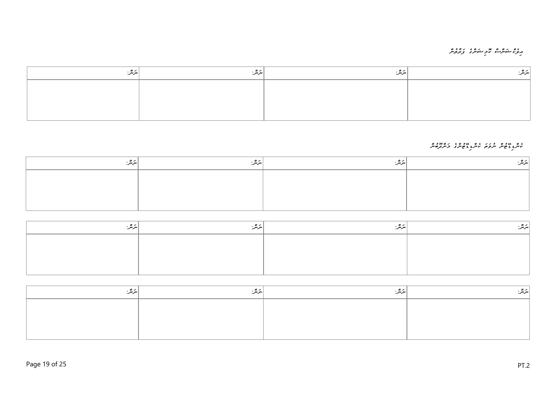## *w7qAn8m? sCw7mRo>u; wEw7mRw;sBo<*

| ' مرمر | 'يئرىثر: |
|--------|----------|
|        |          |
|        |          |
|        |          |

## *w7q9r@w7m> sCw7qHtFoFw7s; mAm=q7 w7qHtFoFw7s;*

| يئرمىش: | $^{\circ}$<br>. سر سر<br>$\cdot$ | $\circ$ $\sim$<br>-- | يئرمثر |
|---------|----------------------------------|----------------------|--------|
|         |                                  |                      |        |
|         |                                  |                      |        |
|         |                                  |                      |        |

| انترنثر: | $^{\circ}$ | يبرهر | $^{\circ}$<br>سرسر |
|----------|------------|-------|--------------------|
|          |            |       |                    |
|          |            |       |                    |
|          |            |       |                    |

| ىرتىر: | 。<br>سر سر | .,<br>مرسر |
|--------|------------|------------|
|        |            |            |
|        |            |            |
|        |            |            |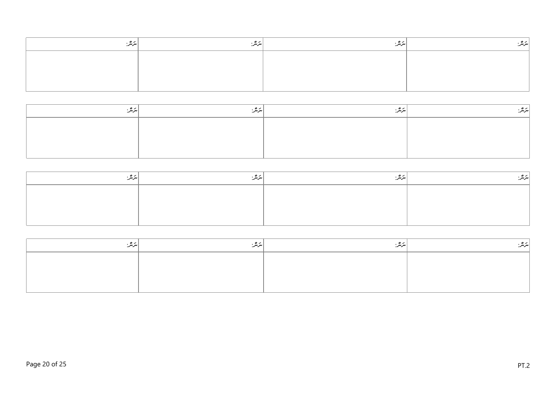| يزهر | $^{\circ}$ | ىئرىتر: |  |
|------|------------|---------|--|
|      |            |         |  |
|      |            |         |  |
|      |            |         |  |

| <sup>.</sup> سرسر. |  |
|--------------------|--|
|                    |  |
|                    |  |
|                    |  |

| ىئرىتر. | $\sim$ | ا بر هه. | لىرىش |
|---------|--------|----------|-------|
|         |        |          |       |
|         |        |          |       |
|         |        |          |       |

| 。<br>مرس. | $\overline{\phantom{a}}$<br>مر سر | يتريثر |
|-----------|-----------------------------------|--------|
|           |                                   |        |
|           |                                   |        |
|           |                                   |        |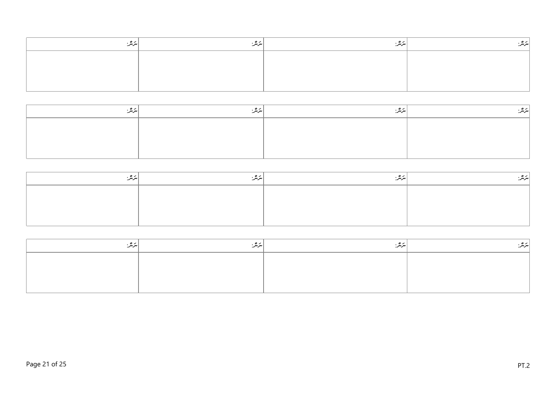| ير هو . | $\overline{\phantom{a}}$ | يرمر | اير هنه. |
|---------|--------------------------|------|----------|
|         |                          |      |          |
|         |                          |      |          |
|         |                          |      |          |

| ىر تىر: | $\circ$ $\sim$<br>" سرسر . | يبرحه | o . |
|---------|----------------------------|-------|-----|
|         |                            |       |     |
|         |                            |       |     |
|         |                            |       |     |

| 'تترنثر: | ر ه |  |
|----------|-----|--|
|          |     |  |
|          |     |  |
|          |     |  |

|  | . ه |
|--|-----|
|  |     |
|  |     |
|  |     |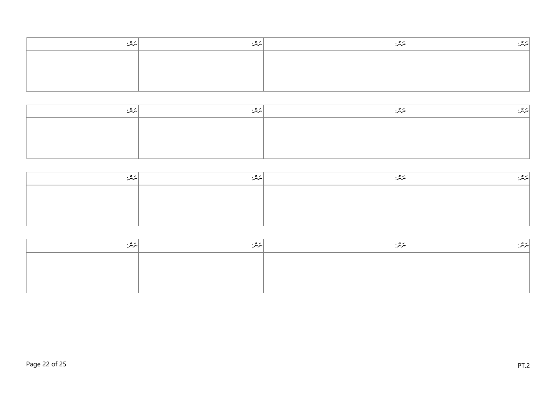| ير هو . | $\overline{\phantom{a}}$ | يرمر | اير هنه. |
|---------|--------------------------|------|----------|
|         |                          |      |          |
|         |                          |      |          |
|         |                          |      |          |

| ىر تىر: | $\circ$ $\sim$<br>" سرسر . | يبرحه | o . |
|---------|----------------------------|-------|-----|
|         |                            |       |     |
|         |                            |       |     |
|         |                            |       |     |

| 'تترنثر: | . .<br>يسمونس. |  |
|----------|----------------|--|
|          |                |  |
|          |                |  |
|          |                |  |

|  | . ه |
|--|-----|
|  |     |
|  |     |
|  |     |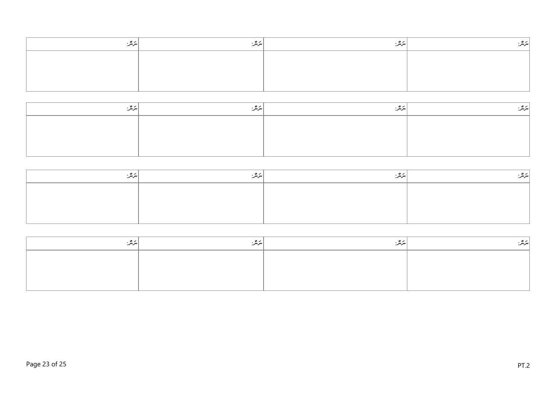| $\cdot$ | 。 | $\frac{\circ}{\cdot}$ | $\sim$<br>سرسر |
|---------|---|-----------------------|----------------|
|         |   |                       |                |
|         |   |                       |                |
|         |   |                       |                |

| يريثن | ' سرسر . |  |
|-------|----------|--|
|       |          |  |
|       |          |  |
|       |          |  |

| بر ه | . ه | $\sim$<br>سرسر |  |
|------|-----|----------------|--|
|      |     |                |  |
|      |     |                |  |
|      |     |                |  |

| 。<br>. س | ىرىىر |  |
|----------|-------|--|
|          |       |  |
|          |       |  |
|          |       |  |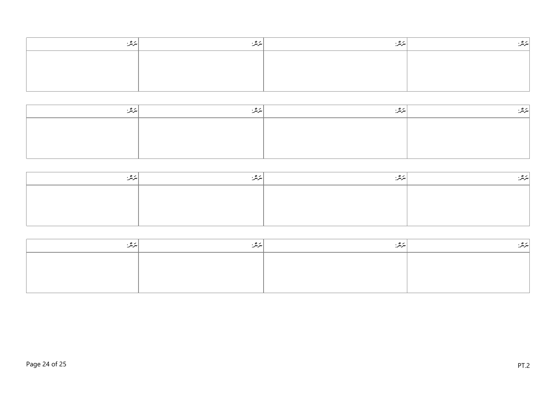| ير هو . | $\overline{\phantom{a}}$ | يرمر | اير هنه. |
|---------|--------------------------|------|----------|
|         |                          |      |          |
|         |                          |      |          |
|         |                          |      |          |

| ئىرتىر: | $\sim$<br>ا سرسر . | يئرمثر | o . |
|---------|--------------------|--------|-----|
|         |                    |        |     |
|         |                    |        |     |
|         |                    |        |     |

| انترنثر: | ر ه |  |
|----------|-----|--|
|          |     |  |
|          |     |  |
|          |     |  |

|  | . ه |
|--|-----|
|  |     |
|  |     |
|  |     |